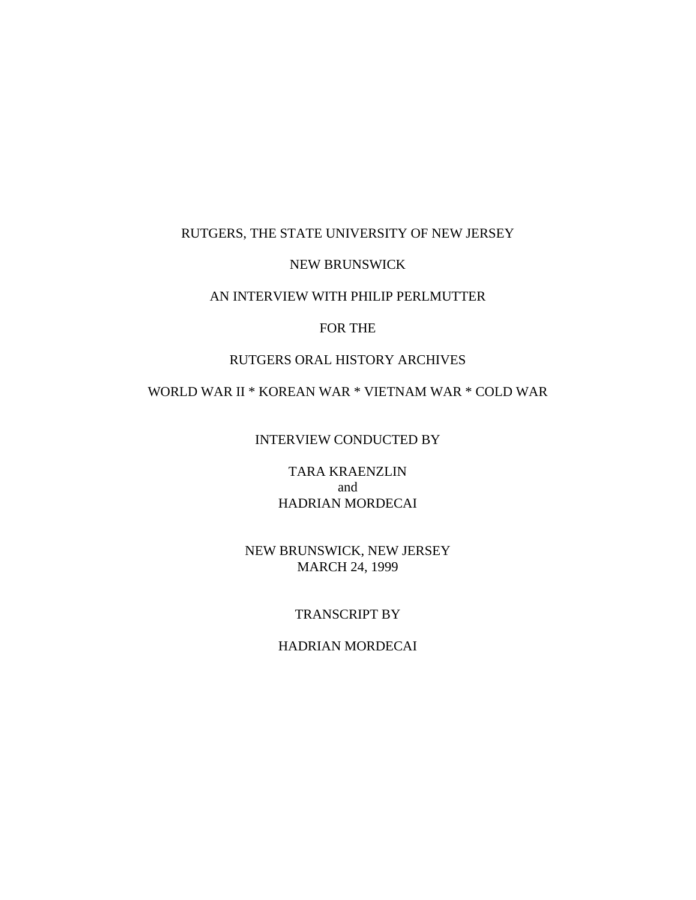# RUTGERS, THE STATE UNIVERSITY OF NEW JERSEY

### NEW BRUNSWICK

### AN INTERVIEW WITH PHILIP PERLMUTTER

#### FOR THE

### RUTGERS ORAL HISTORY ARCHIVES

### WORLD WAR II \* KOREAN WAR \* VIETNAM WAR \* COLD WAR

INTERVIEW CONDUCTED BY

TARA KRAENZLIN and HADRIAN MORDECAI

### NEW BRUNSWICK, NEW JERSEY MARCH 24, 1999

# TRANSCRIPT BY

### HADRIAN MORDECAI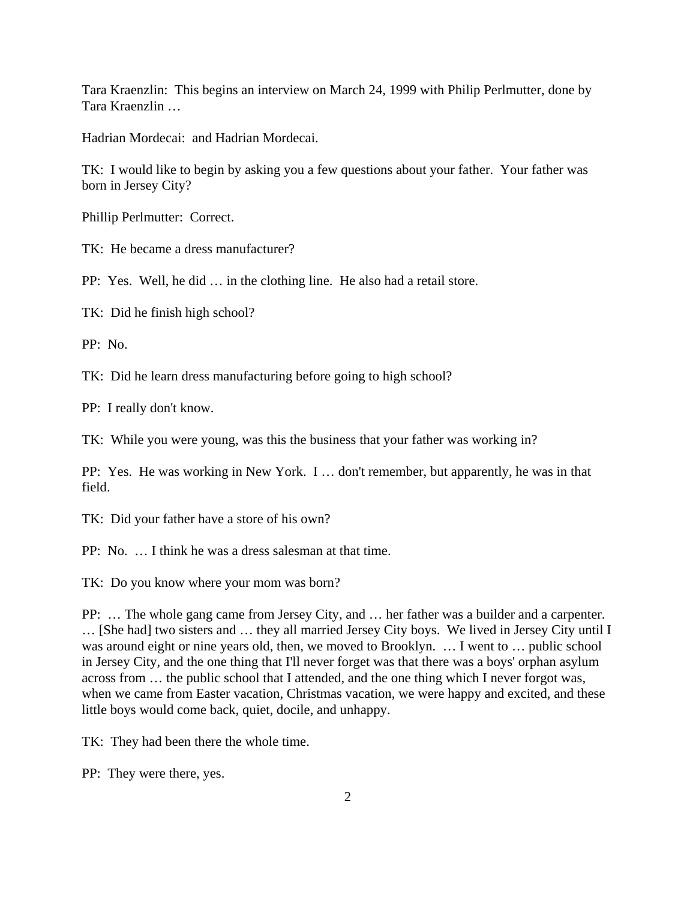Tara Kraenzlin: This begins an interview on March 24, 1999 with Philip Perlmutter, done by Tara Kraenzlin …

Hadrian Mordecai: and Hadrian Mordecai.

TK: I would like to begin by asking you a few questions about your father. Your father was born in Jersey City?

Phillip Perlmutter: Correct.

TK: He became a dress manufacturer?

PP: Yes. Well, he did … in the clothing line. He also had a retail store.

TK: Did he finish high school?

PP: No.

TK: Did he learn dress manufacturing before going to high school?

PP: I really don't know.

TK: While you were young, was this the business that your father was working in?

PP: Yes. He was working in New York. I … don't remember, but apparently, he was in that field.

TK: Did your father have a store of his own?

PP: No. … I think he was a dress salesman at that time.

TK: Do you know where your mom was born?

PP: … The whole gang came from Jersey City, and … her father was a builder and a carpenter. … [She had] two sisters and … they all married Jersey City boys. We lived in Jersey City until I was around eight or nine years old, then, we moved to Brooklyn. … I went to … public school in Jersey City, and the one thing that I'll never forget was that there was a boys' orphan asylum across from … the public school that I attended, and the one thing which I never forgot was, when we came from Easter vacation, Christmas vacation, we were happy and excited, and these little boys would come back, quiet, docile, and unhappy.

TK: They had been there the whole time.

PP: They were there, yes.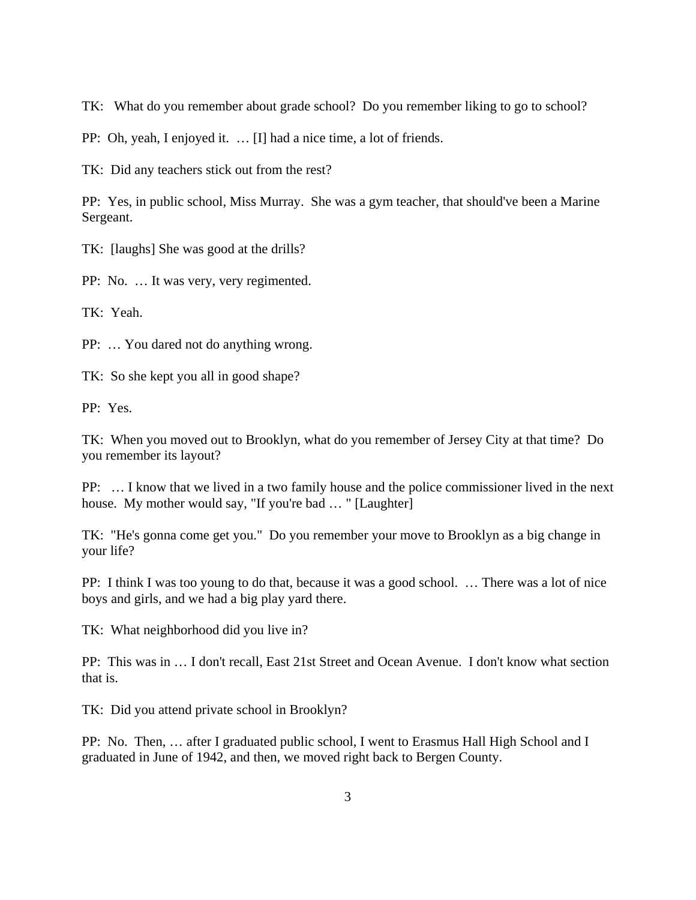TK: What do you remember about grade school? Do you remember liking to go to school?

PP: Oh, yeah, I enjoyed it. … [I] had a nice time, a lot of friends.

TK: Did any teachers stick out from the rest?

PP: Yes, in public school, Miss Murray. She was a gym teacher, that should've been a Marine Sergeant.

TK: [laughs] She was good at the drills?

PP: No. … It was very, very regimented.

TK: Yeah.

PP: … You dared not do anything wrong.

TK: So she kept you all in good shape?

PP: Yes.

TK: When you moved out to Brooklyn, what do you remember of Jersey City at that time? Do you remember its layout?

PP: … I know that we lived in a two family house and the police commissioner lived in the next house. My mother would say, "If you're bad ... " [Laughter]

TK: "He's gonna come get you." Do you remember your move to Brooklyn as a big change in your life?

PP: I think I was too young to do that, because it was a good school. … There was a lot of nice boys and girls, and we had a big play yard there.

TK: What neighborhood did you live in?

PP: This was in … I don't recall, East 21st Street and Ocean Avenue. I don't know what section that is.

TK: Did you attend private school in Brooklyn?

PP: No. Then, … after I graduated public school, I went to Erasmus Hall High School and I graduated in June of 1942, and then, we moved right back to Bergen County.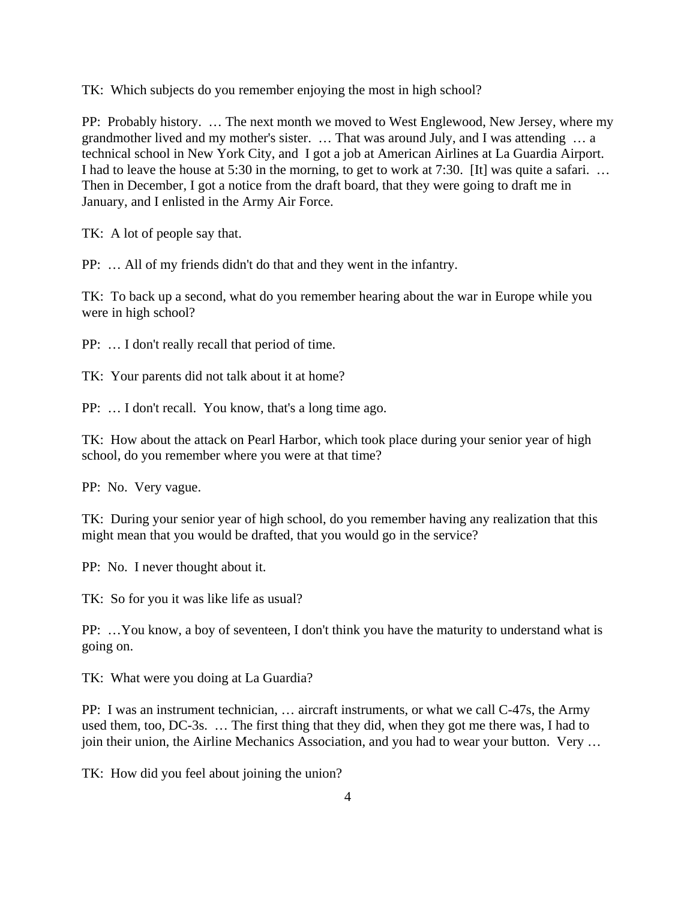TK: Which subjects do you remember enjoying the most in high school?

PP: Probably history. … The next month we moved to West Englewood, New Jersey, where my grandmother lived and my mother's sister. … That was around July, and I was attending … a technical school in New York City, and I got a job at American Airlines at La Guardia Airport. I had to leave the house at 5:30 in the morning, to get to work at 7:30. [It] was quite a safari. … Then in December, I got a notice from the draft board, that they were going to draft me in January, and I enlisted in the Army Air Force.

TK: A lot of people say that.

PP: … All of my friends didn't do that and they went in the infantry.

TK: To back up a second, what do you remember hearing about the war in Europe while you were in high school?

PP: … I don't really recall that period of time.

TK: Your parents did not talk about it at home?

PP: … I don't recall. You know, that's a long time ago.

TK: How about the attack on Pearl Harbor, which took place during your senior year of high school, do you remember where you were at that time?

PP: No. Very vague.

TK: During your senior year of high school, do you remember having any realization that this might mean that you would be drafted, that you would go in the service?

PP: No. I never thought about it.

TK: So for you it was like life as usual?

PP: …You know, a boy of seventeen, I don't think you have the maturity to understand what is going on.

TK: What were you doing at La Guardia?

PP: I was an instrument technician, … aircraft instruments, or what we call C-47s, the Army used them, too, DC-3s. … The first thing that they did, when they got me there was, I had to join their union, the Airline Mechanics Association, and you had to wear your button. Very …

TK: How did you feel about joining the union?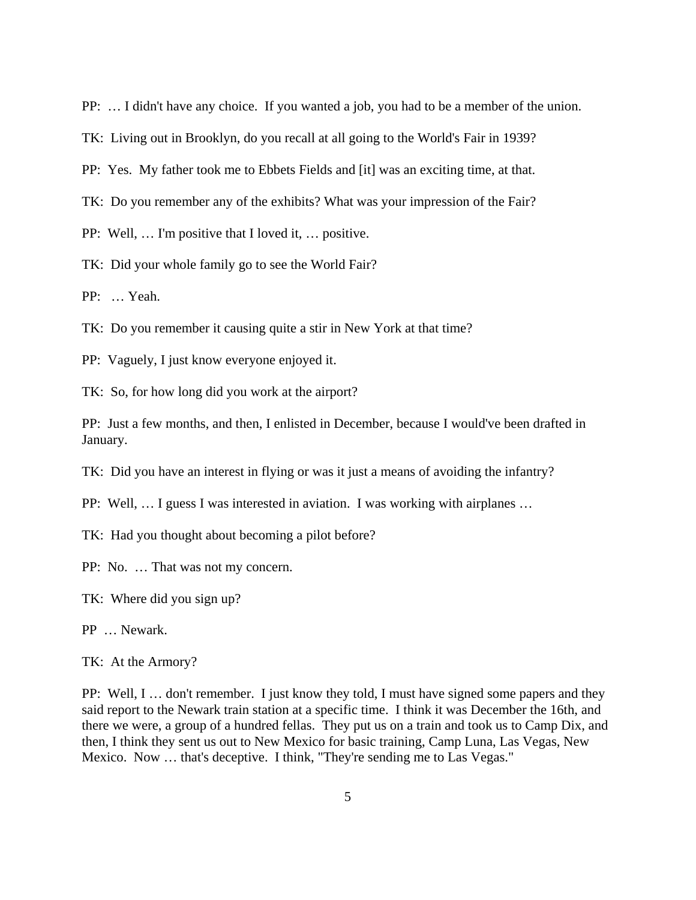PP: … I didn't have any choice. If you wanted a job, you had to be a member of the union.

TK: Living out in Brooklyn, do you recall at all going to the World's Fair in 1939?

PP: Yes. My father took me to Ebbets Fields and [it] was an exciting time, at that.

TK: Do you remember any of the exhibits? What was your impression of the Fair?

PP: Well, … I'm positive that I loved it, … positive.

TK: Did your whole family go to see the World Fair?

PP: … Yeah.

TK: Do you remember it causing quite a stir in New York at that time?

PP: Vaguely, I just know everyone enjoyed it.

TK: So, for how long did you work at the airport?

PP: Just a few months, and then, I enlisted in December, because I would've been drafted in January.

TK: Did you have an interest in flying or was it just a means of avoiding the infantry?

PP: Well, … I guess I was interested in aviation. I was working with airplanes …

TK: Had you thought about becoming a pilot before?

PP: No. … That was not my concern.

TK: Where did you sign up?

PP … Newark.

TK: At the Armory?

PP: Well, I … don't remember. I just know they told, I must have signed some papers and they said report to the Newark train station at a specific time. I think it was December the 16th, and there we were, a group of a hundred fellas. They put us on a train and took us to Camp Dix, and then, I think they sent us out to New Mexico for basic training, Camp Luna, Las Vegas, New Mexico. Now … that's deceptive. I think, "They're sending me to Las Vegas."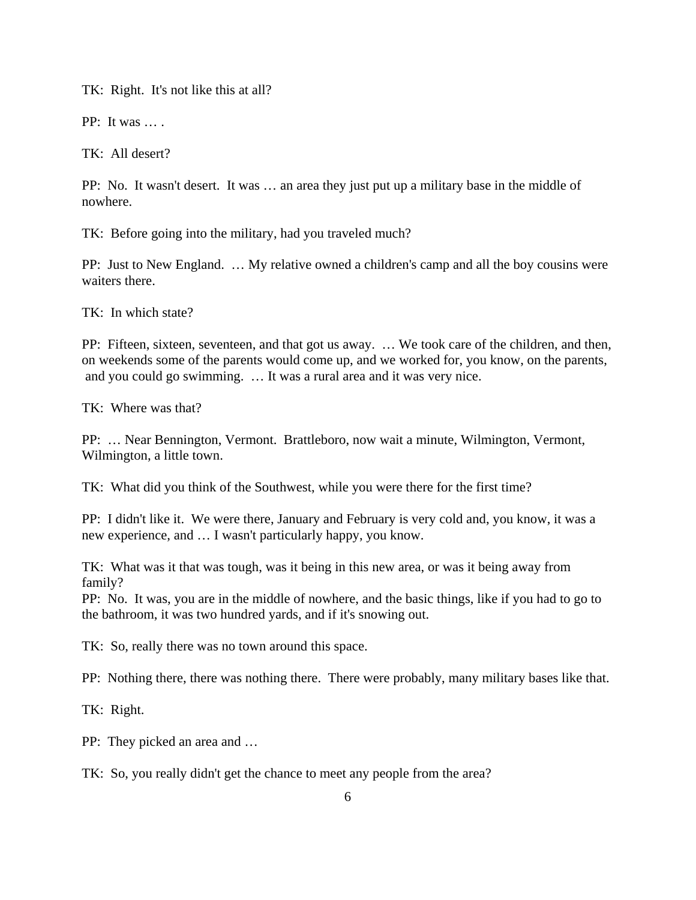TK: Right. It's not like this at all?

PP: It was … .

TK: All desert?

PP: No. It wasn't desert. It was … an area they just put up a military base in the middle of nowhere.

TK: Before going into the military, had you traveled much?

PP: Just to New England. … My relative owned a children's camp and all the boy cousins were waiters there.

TK: In which state?

PP: Fifteen, sixteen, seventeen, and that got us away. … We took care of the children, and then, on weekends some of the parents would come up, and we worked for, you know, on the parents, and you could go swimming. … It was a rural area and it was very nice.

TK: Where was that?

PP: … Near Bennington, Vermont. Brattleboro, now wait a minute, Wilmington, Vermont, Wilmington, a little town.

TK: What did you think of the Southwest, while you were there for the first time?

PP: I didn't like it. We were there, January and February is very cold and, you know, it was a new experience, and … I wasn't particularly happy, you know.

TK: What was it that was tough, was it being in this new area, or was it being away from family?

PP: No. It was, you are in the middle of nowhere, and the basic things, like if you had to go to the bathroom, it was two hundred yards, and if it's snowing out.

TK: So, really there was no town around this space.

PP: Nothing there, there was nothing there. There were probably, many military bases like that.

TK: Right.

PP: They picked an area and …

TK: So, you really didn't get the chance to meet any people from the area?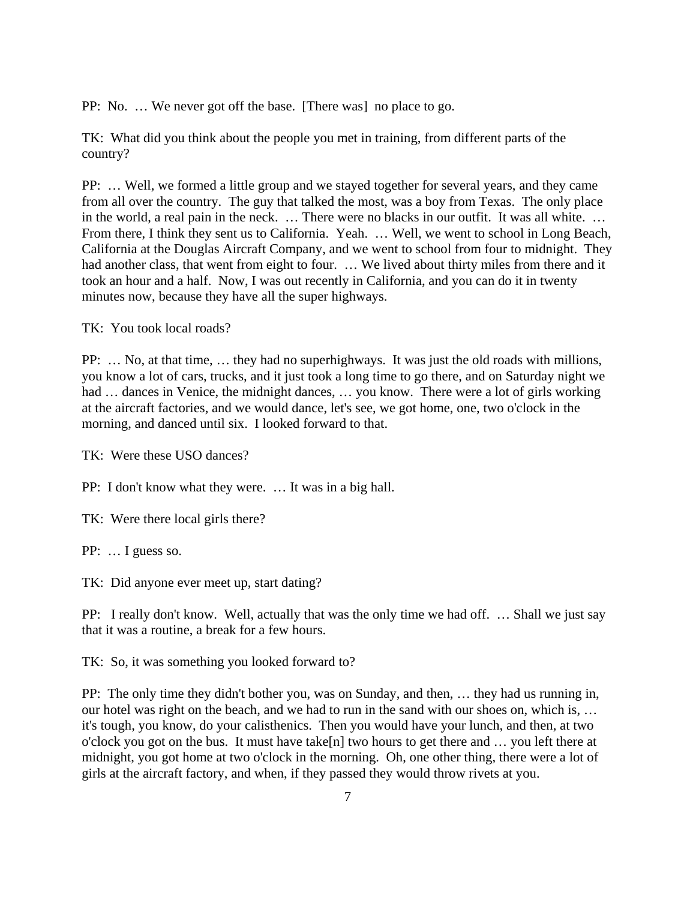PP: No. … We never got off the base. [There was] no place to go.

TK: What did you think about the people you met in training, from different parts of the country?

PP: … Well, we formed a little group and we stayed together for several years, and they came from all over the country. The guy that talked the most, was a boy from Texas. The only place in the world, a real pain in the neck. … There were no blacks in our outfit. It was all white. … From there, I think they sent us to California. Yeah. … Well, we went to school in Long Beach, California at the Douglas Aircraft Company, and we went to school from four to midnight. They had another class, that went from eight to four. … We lived about thirty miles from there and it took an hour and a half. Now, I was out recently in California, and you can do it in twenty minutes now, because they have all the super highways.

TK: You took local roads?

PP: … No, at that time, … they had no superhighways. It was just the old roads with millions, you know a lot of cars, trucks, and it just took a long time to go there, and on Saturday night we had ... dances in Venice, the midnight dances, ... you know. There were a lot of girls working at the aircraft factories, and we would dance, let's see, we got home, one, two o'clock in the morning, and danced until six. I looked forward to that.

TK: Were these USO dances?

PP: I don't know what they were. … It was in a big hall.

TK: Were there local girls there?

PP: … I guess so.

TK: Did anyone ever meet up, start dating?

PP: I really don't know. Well, actually that was the only time we had off. … Shall we just say that it was a routine, a break for a few hours.

TK: So, it was something you looked forward to?

PP: The only time they didn't bother you, was on Sunday, and then, … they had us running in, our hotel was right on the beach, and we had to run in the sand with our shoes on, which is, … it's tough, you know, do your calisthenics. Then you would have your lunch, and then, at two o'clock you got on the bus. It must have take[n] two hours to get there and … you left there at midnight, you got home at two o'clock in the morning. Oh, one other thing, there were a lot of girls at the aircraft factory, and when, if they passed they would throw rivets at you.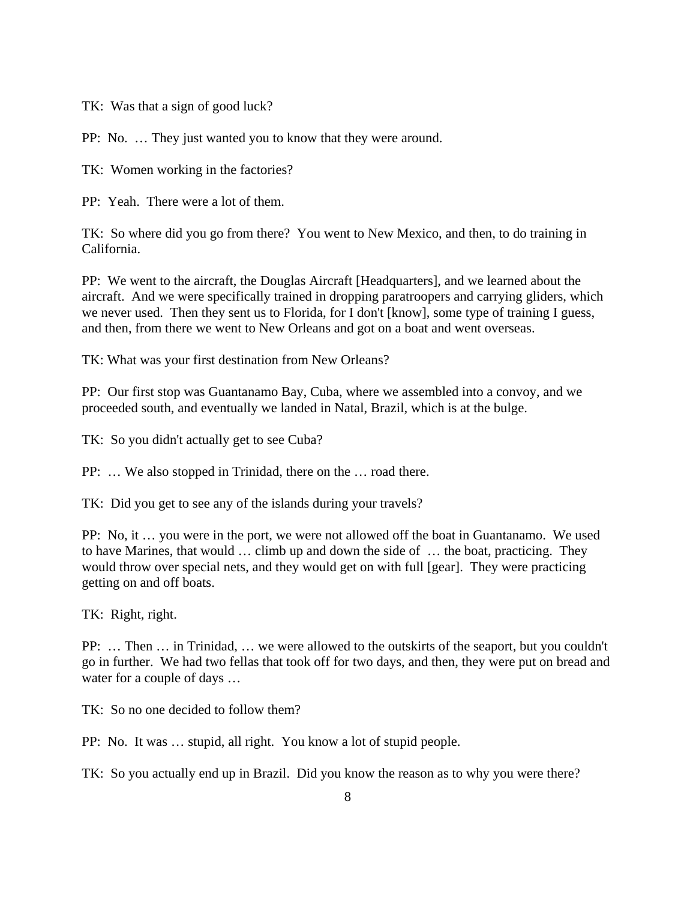TK: Was that a sign of good luck?

PP: No. … They just wanted you to know that they were around.

TK: Women working in the factories?

PP: Yeah. There were a lot of them.

TK: So where did you go from there? You went to New Mexico, and then, to do training in California.

PP: We went to the aircraft, the Douglas Aircraft [Headquarters], and we learned about the aircraft. And we were specifically trained in dropping paratroopers and carrying gliders, which we never used. Then they sent us to Florida, for I don't [know], some type of training I guess, and then, from there we went to New Orleans and got on a boat and went overseas.

TK: What was your first destination from New Orleans?

PP: Our first stop was Guantanamo Bay, Cuba, where we assembled into a convoy, and we proceeded south, and eventually we landed in Natal, Brazil, which is at the bulge.

TK: So you didn't actually get to see Cuba?

PP: … We also stopped in Trinidad, there on the … road there.

TK: Did you get to see any of the islands during your travels?

PP: No, it … you were in the port, we were not allowed off the boat in Guantanamo. We used to have Marines, that would … climb up and down the side of … the boat, practicing. They would throw over special nets, and they would get on with full [gear]. They were practicing getting on and off boats.

TK: Right, right.

PP: … Then … in Trinidad, … we were allowed to the outskirts of the seaport, but you couldn't go in further. We had two fellas that took off for two days, and then, they were put on bread and water for a couple of days …

TK: So no one decided to follow them?

PP: No. It was … stupid, all right. You know a lot of stupid people.

TK: So you actually end up in Brazil. Did you know the reason as to why you were there?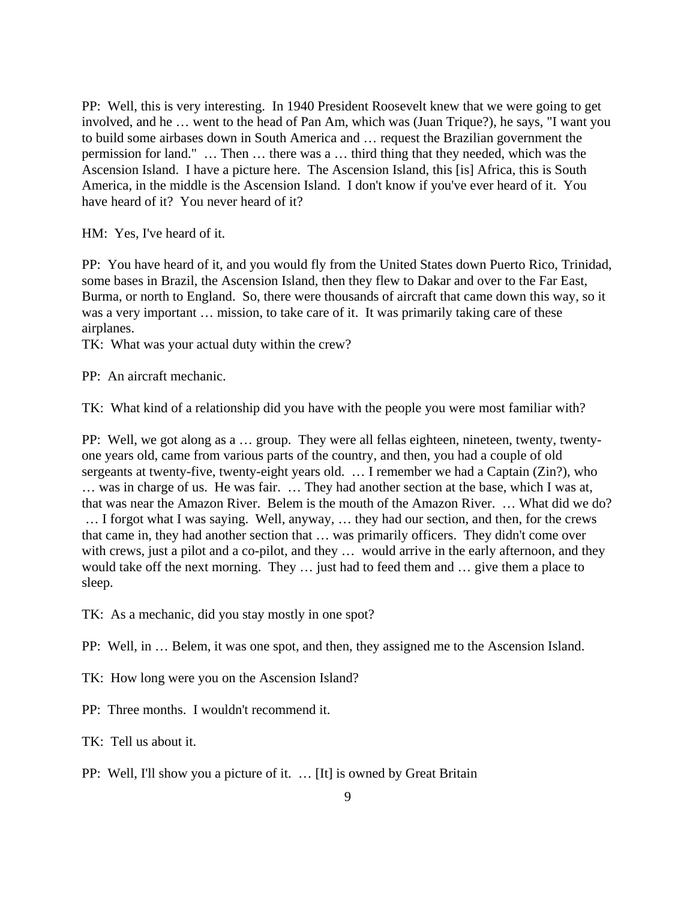PP: Well, this is very interesting. In 1940 President Roosevelt knew that we were going to get involved, and he … went to the head of Pan Am, which was (Juan Trique?), he says, "I want you to build some airbases down in South America and … request the Brazilian government the permission for land." … Then … there was a … third thing that they needed, which was the Ascension Island. I have a picture here. The Ascension Island, this [is] Africa, this is South America, in the middle is the Ascension Island. I don't know if you've ever heard of it. You have heard of it? You never heard of it?

HM: Yes, I've heard of it.

PP: You have heard of it, and you would fly from the United States down Puerto Rico, Trinidad, some bases in Brazil, the Ascension Island, then they flew to Dakar and over to the Far East, Burma, or north to England. So, there were thousands of aircraft that came down this way, so it was a very important … mission, to take care of it. It was primarily taking care of these airplanes.

TK: What was your actual duty within the crew?

PP: An aircraft mechanic.

TK: What kind of a relationship did you have with the people you were most familiar with?

PP: Well, we got along as a … group. They were all fellas eighteen, nineteen, twenty, twentyone years old, came from various parts of the country, and then, you had a couple of old sergeants at twenty-five, twenty-eight years old. ... I remember we had a Captain (Zin?), who … was in charge of us. He was fair. … They had another section at the base, which I was at, that was near the Amazon River. Belem is the mouth of the Amazon River. … What did we do? … I forgot what I was saying. Well, anyway, … they had our section, and then, for the crews that came in, they had another section that … was primarily officers. They didn't come over with crews, just a pilot and a co-pilot, and they ... would arrive in the early afternoon, and they would take off the next morning. They … just had to feed them and … give them a place to sleep.

TK: As a mechanic, did you stay mostly in one spot?

PP: Well, in … Belem, it was one spot, and then, they assigned me to the Ascension Island.

TK: How long were you on the Ascension Island?

PP: Three months. I wouldn't recommend it.

TK: Tell us about it.

PP: Well, I'll show you a picture of it. … [It] is owned by Great Britain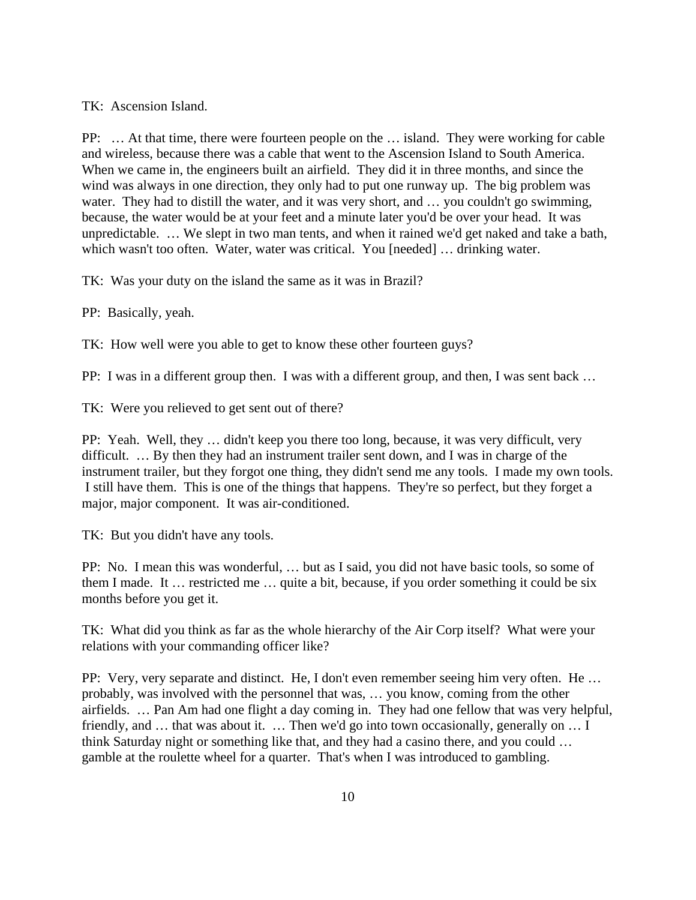TK: Ascension Island.

PP: … At that time, there were fourteen people on the … island. They were working for cable and wireless, because there was a cable that went to the Ascension Island to South America. When we came in, the engineers built an airfield. They did it in three months, and since the wind was always in one direction, they only had to put one runway up. The big problem was water. They had to distill the water, and it was very short, and ... you couldn't go swimming, because, the water would be at your feet and a minute later you'd be over your head. It was unpredictable. … We slept in two man tents, and when it rained we'd get naked and take a bath, which wasn't too often. Water, water was critical. You [needed] ... drinking water.

TK: Was your duty on the island the same as it was in Brazil?

PP: Basically, yeah.

TK: How well were you able to get to know these other fourteen guys?

PP: I was in a different group then. I was with a different group, and then, I was sent back …

TK: Were you relieved to get sent out of there?

PP: Yeah. Well, they … didn't keep you there too long, because, it was very difficult, very difficult. … By then they had an instrument trailer sent down, and I was in charge of the instrument trailer, but they forgot one thing, they didn't send me any tools. I made my own tools. I still have them. This is one of the things that happens. They're so perfect, but they forget a major, major component. It was air-conditioned.

TK: But you didn't have any tools.

PP: No. I mean this was wonderful, … but as I said, you did not have basic tools, so some of them I made. It … restricted me … quite a bit, because, if you order something it could be six months before you get it.

TK: What did you think as far as the whole hierarchy of the Air Corp itself? What were your relations with your commanding officer like?

PP: Very, very separate and distinct. He, I don't even remember seeing him very often. He … probably, was involved with the personnel that was, … you know, coming from the other airfields. … Pan Am had one flight a day coming in. They had one fellow that was very helpful, friendly, and … that was about it. … Then we'd go into town occasionally, generally on … I think Saturday night or something like that, and they had a casino there, and you could … gamble at the roulette wheel for a quarter. That's when I was introduced to gambling.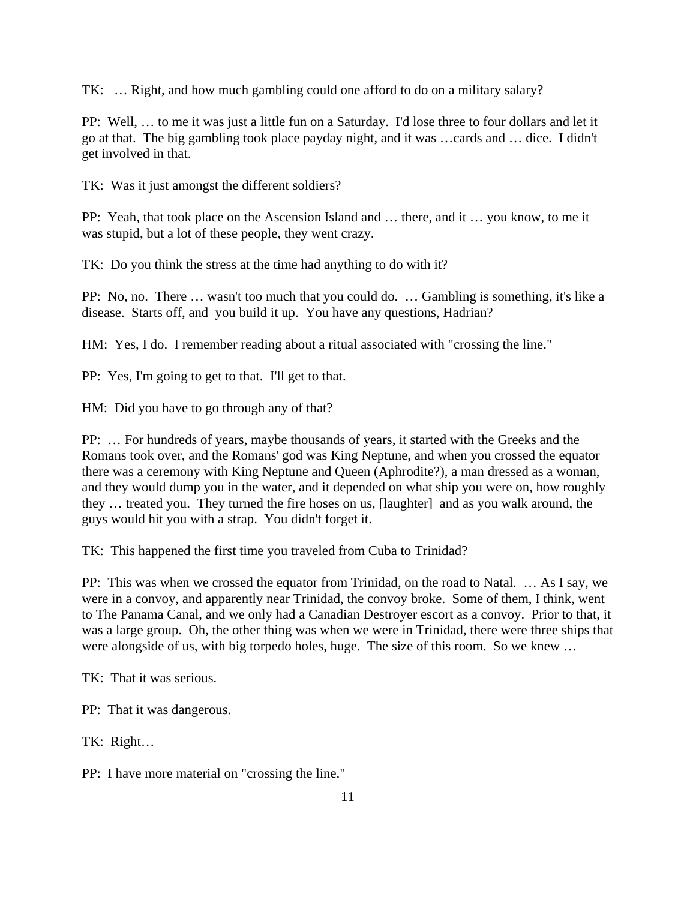TK: … Right, and how much gambling could one afford to do on a military salary?

PP: Well, … to me it was just a little fun on a Saturday. I'd lose three to four dollars and let it go at that. The big gambling took place payday night, and it was …cards and … dice. I didn't get involved in that.

TK: Was it just amongst the different soldiers?

PP: Yeah, that took place on the Ascension Island and … there, and it … you know, to me it was stupid, but a lot of these people, they went crazy.

TK: Do you think the stress at the time had anything to do with it?

PP: No, no. There … wasn't too much that you could do. … Gambling is something, it's like a disease. Starts off, and you build it up. You have any questions, Hadrian?

HM: Yes, I do. I remember reading about a ritual associated with "crossing the line."

PP: Yes, I'm going to get to that. I'll get to that.

HM: Did you have to go through any of that?

PP: … For hundreds of years, maybe thousands of years, it started with the Greeks and the Romans took over, and the Romans' god was King Neptune, and when you crossed the equator there was a ceremony with King Neptune and Queen (Aphrodite?), a man dressed as a woman, and they would dump you in the water, and it depended on what ship you were on, how roughly they … treated you. They turned the fire hoses on us, [laughter] and as you walk around, the guys would hit you with a strap. You didn't forget it.

TK: This happened the first time you traveled from Cuba to Trinidad?

PP: This was when we crossed the equator from Trinidad, on the road to Natal. … As I say, we were in a convoy, and apparently near Trinidad, the convoy broke. Some of them, I think, went to The Panama Canal, and we only had a Canadian Destroyer escort as a convoy. Prior to that, it was a large group. Oh, the other thing was when we were in Trinidad, there were three ships that were alongside of us, with big torpedo holes, huge. The size of this room. So we knew ...

TK: That it was serious.

PP: That it was dangerous.

TK: Right…

PP: I have more material on "crossing the line."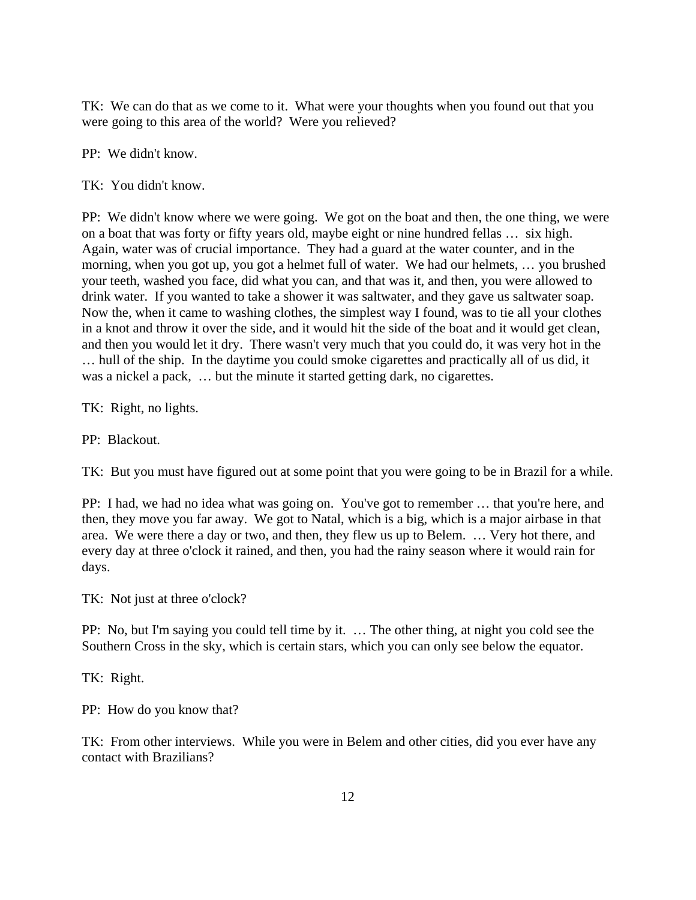TK: We can do that as we come to it. What were your thoughts when you found out that you were going to this area of the world? Were you relieved?

PP: We didn't know.

TK: You didn't know.

PP: We didn't know where we were going. We got on the boat and then, the one thing, we were on a boat that was forty or fifty years old, maybe eight or nine hundred fellas … six high. Again, water was of crucial importance. They had a guard at the water counter, and in the morning, when you got up, you got a helmet full of water. We had our helmets, … you brushed your teeth, washed you face, did what you can, and that was it, and then, you were allowed to drink water. If you wanted to take a shower it was saltwater, and they gave us saltwater soap. Now the, when it came to washing clothes, the simplest way I found, was to tie all your clothes in a knot and throw it over the side, and it would hit the side of the boat and it would get clean, and then you would let it dry. There wasn't very much that you could do, it was very hot in the … hull of the ship. In the daytime you could smoke cigarettes and practically all of us did, it was a nickel a pack, ... but the minute it started getting dark, no cigarettes.

TK: Right, no lights.

PP: Blackout.

TK: But you must have figured out at some point that you were going to be in Brazil for a while.

PP: I had, we had no idea what was going on. You've got to remember … that you're here, and then, they move you far away. We got to Natal, which is a big, which is a major airbase in that area. We were there a day or two, and then, they flew us up to Belem. … Very hot there, and every day at three o'clock it rained, and then, you had the rainy season where it would rain for days.

TK: Not just at three o'clock?

PP: No, but I'm saying you could tell time by it. … The other thing, at night you cold see the Southern Cross in the sky, which is certain stars, which you can only see below the equator.

TK: Right.

PP: How do you know that?

TK: From other interviews. While you were in Belem and other cities, did you ever have any contact with Brazilians?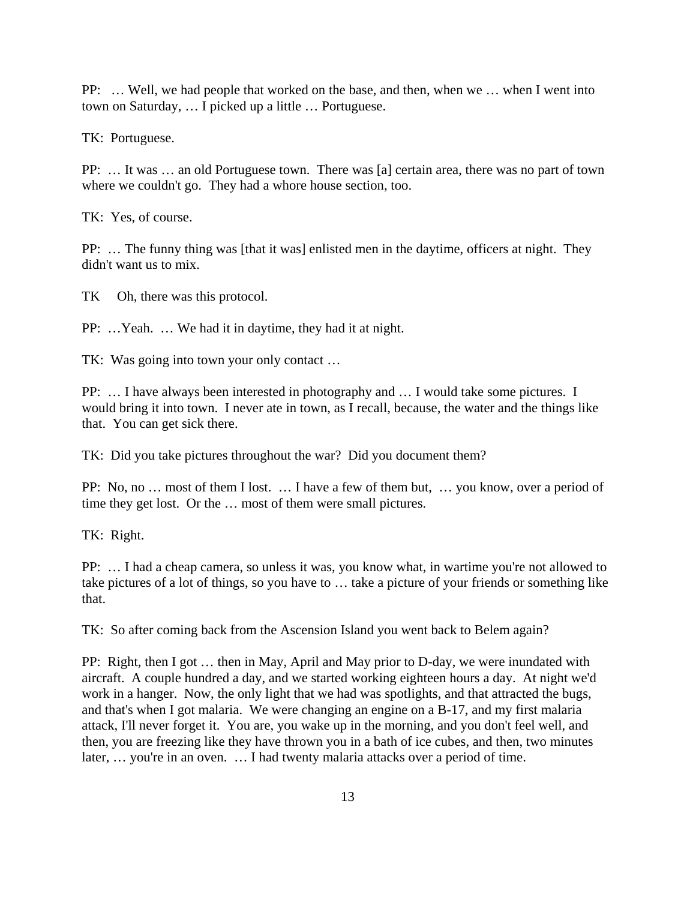PP: … Well, we had people that worked on the base, and then, when we … when I went into town on Saturday, … I picked up a little … Portuguese.

TK: Portuguese.

PP: … It was … an old Portuguese town. There was [a] certain area, there was no part of town where we couldn't go. They had a whore house section, too.

TK: Yes, of course.

PP: … The funny thing was [that it was] enlisted men in the daytime, officers at night. They didn't want us to mix.

TK Oh, there was this protocol.

PP: …Yeah. … We had it in daytime, they had it at night.

TK: Was going into town your only contact …

PP: … I have always been interested in photography and … I would take some pictures. I would bring it into town. I never ate in town, as I recall, because, the water and the things like that. You can get sick there.

TK: Did you take pictures throughout the war? Did you document them?

PP: No, no … most of them I lost. … I have a few of them but, … you know, over a period of time they get lost. Or the … most of them were small pictures.

TK: Right.

PP: … I had a cheap camera, so unless it was, you know what, in wartime you're not allowed to take pictures of a lot of things, so you have to … take a picture of your friends or something like that.

TK: So after coming back from the Ascension Island you went back to Belem again?

PP: Right, then I got … then in May, April and May prior to D-day, we were inundated with aircraft. A couple hundred a day, and we started working eighteen hours a day. At night we'd work in a hanger. Now, the only light that we had was spotlights, and that attracted the bugs, and that's when I got malaria. We were changing an engine on a B-17, and my first malaria attack, I'll never forget it. You are, you wake up in the morning, and you don't feel well, and then, you are freezing like they have thrown you in a bath of ice cubes, and then, two minutes later, ... you're in an oven. ... I had twenty malaria attacks over a period of time.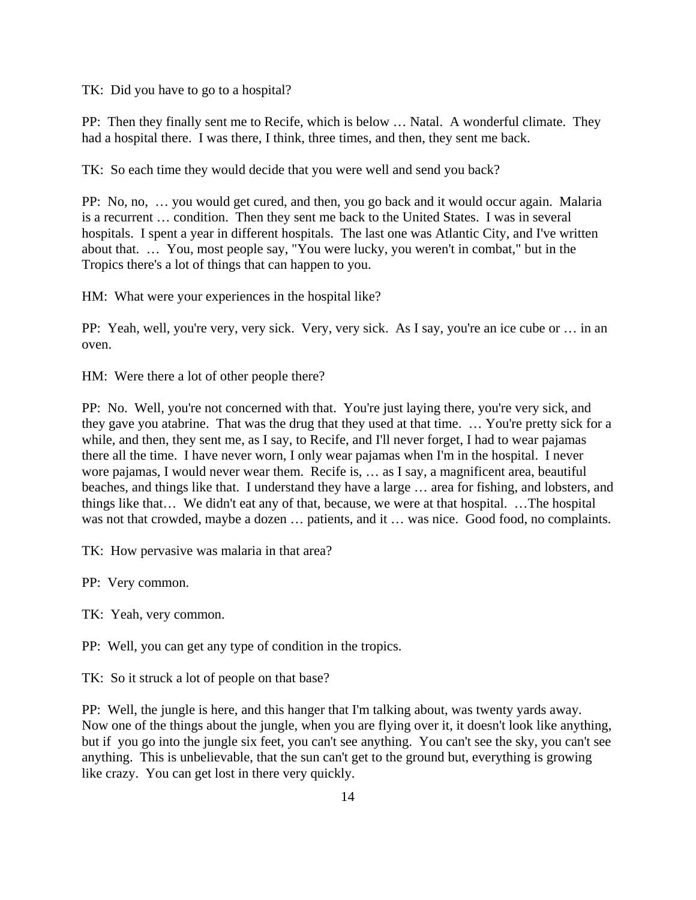TK: Did you have to go to a hospital?

PP: Then they finally sent me to Recife, which is below … Natal. A wonderful climate. They had a hospital there. I was there, I think, three times, and then, they sent me back.

TK: So each time they would decide that you were well and send you back?

PP: No, no, … you would get cured, and then, you go back and it would occur again. Malaria is a recurrent … condition. Then they sent me back to the United States. I was in several hospitals. I spent a year in different hospitals. The last one was Atlantic City, and I've written about that. … You, most people say, "You were lucky, you weren't in combat," but in the Tropics there's a lot of things that can happen to you.

HM: What were your experiences in the hospital like?

PP: Yeah, well, you're very, very sick. Very, very sick. As I say, you're an ice cube or ... in an oven.

HM: Were there a lot of other people there?

PP: No. Well, you're not concerned with that. You're just laying there, you're very sick, and they gave you atabrine. That was the drug that they used at that time. … You're pretty sick for a while, and then, they sent me, as I say, to Recife, and I'll never forget, I had to wear pajamas there all the time. I have never worn, I only wear pajamas when I'm in the hospital. I never wore pajamas, I would never wear them. Recife is, … as I say, a magnificent area, beautiful beaches, and things like that. I understand they have a large … area for fishing, and lobsters, and things like that… We didn't eat any of that, because, we were at that hospital. …The hospital was not that crowded, maybe a dozen ... patients, and it ... was nice. Good food, no complaints.

TK: How pervasive was malaria in that area?

PP: Very common.

TK: Yeah, very common.

PP: Well, you can get any type of condition in the tropics.

TK: So it struck a lot of people on that base?

PP: Well, the jungle is here, and this hanger that I'm talking about, was twenty yards away. Now one of the things about the jungle, when you are flying over it, it doesn't look like anything, but if you go into the jungle six feet, you can't see anything. You can't see the sky, you can't see anything. This is unbelievable, that the sun can't get to the ground but, everything is growing like crazy. You can get lost in there very quickly.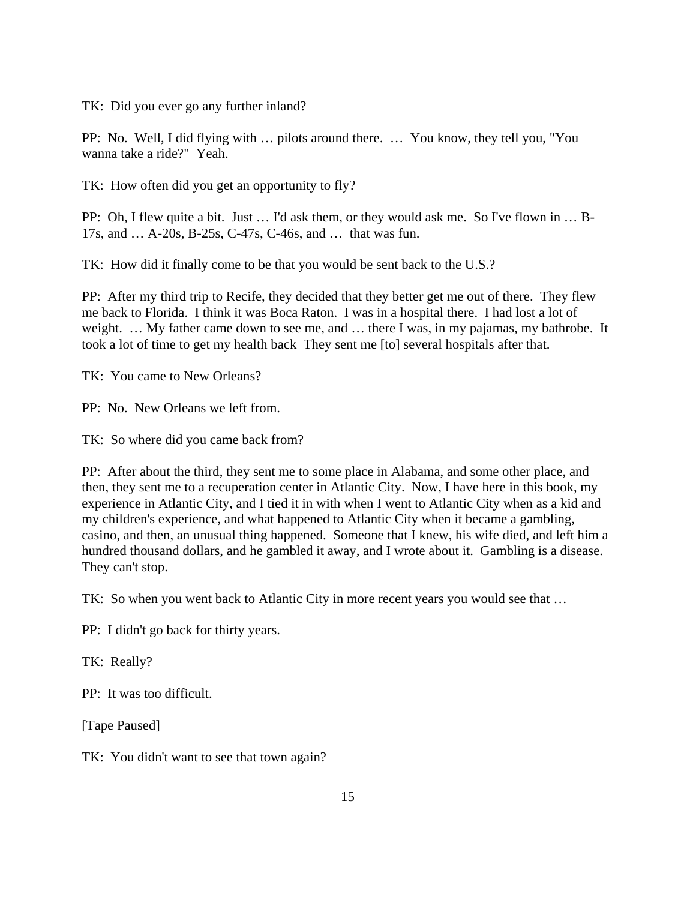TK: Did you ever go any further inland?

PP: No. Well, I did flying with … pilots around there. … You know, they tell you, "You wanna take a ride?" Yeah.

TK: How often did you get an opportunity to fly?

PP: Oh, I flew quite a bit. Just … I'd ask them, or they would ask me. So I've flown in … B-17s, and … A-20s, B-25s, C-47s, C-46s, and … that was fun.

TK: How did it finally come to be that you would be sent back to the U.S.?

PP: After my third trip to Recife, they decided that they better get me out of there. They flew me back to Florida. I think it was Boca Raton. I was in a hospital there. I had lost a lot of weight. … My father came down to see me, and … there I was, in my pajamas, my bathrobe. It took a lot of time to get my health back They sent me [to] several hospitals after that.

TK: You came to New Orleans?

PP: No. New Orleans we left from.

TK: So where did you came back from?

PP: After about the third, they sent me to some place in Alabama, and some other place, and then, they sent me to a recuperation center in Atlantic City. Now, I have here in this book, my experience in Atlantic City, and I tied it in with when I went to Atlantic City when as a kid and my children's experience, and what happened to Atlantic City when it became a gambling, casino, and then, an unusual thing happened. Someone that I knew, his wife died, and left him a hundred thousand dollars, and he gambled it away, and I wrote about it. Gambling is a disease. They can't stop.

TK: So when you went back to Atlantic City in more recent years you would see that …

PP: I didn't go back for thirty years.

TK: Really?

PP: It was too difficult.

[Tape Paused]

TK: You didn't want to see that town again?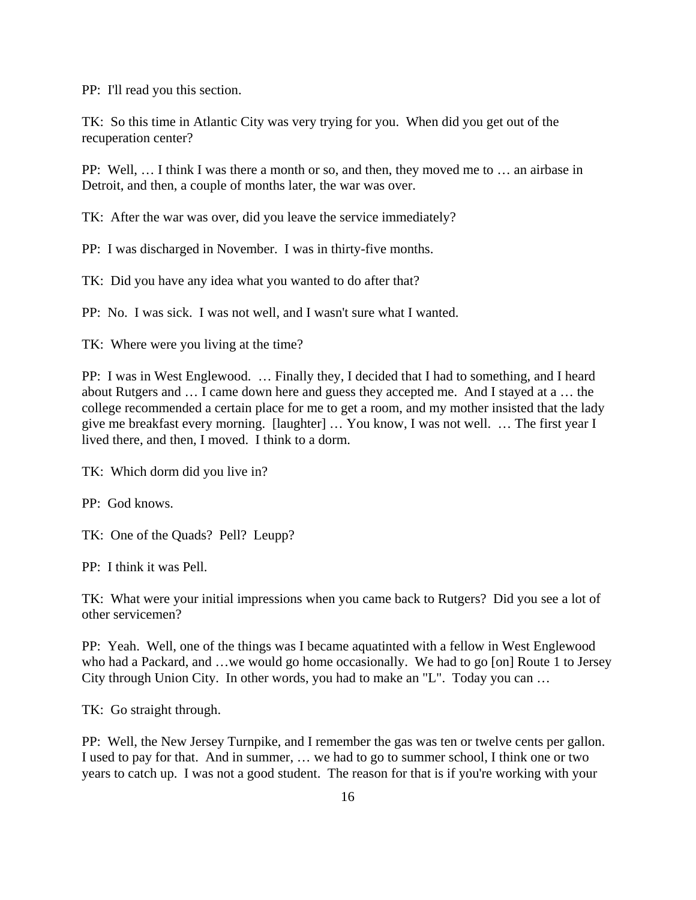PP: I'll read you this section.

TK: So this time in Atlantic City was very trying for you. When did you get out of the recuperation center?

PP: Well, … I think I was there a month or so, and then, they moved me to … an airbase in Detroit, and then, a couple of months later, the war was over.

TK: After the war was over, did you leave the service immediately?

PP: I was discharged in November. I was in thirty-five months.

TK: Did you have any idea what you wanted to do after that?

PP: No. I was sick. I was not well, and I wasn't sure what I wanted.

TK: Where were you living at the time?

PP: I was in West Englewood. … Finally they, I decided that I had to something, and I heard about Rutgers and … I came down here and guess they accepted me. And I stayed at a … the college recommended a certain place for me to get a room, and my mother insisted that the lady give me breakfast every morning. [laughter] … You know, I was not well. … The first year I lived there, and then, I moved. I think to a dorm.

TK: Which dorm did you live in?

PP: God knows.

TK: One of the Quads? Pell? Leupp?

PP: I think it was Pell.

TK: What were your initial impressions when you came back to Rutgers? Did you see a lot of other servicemen?

PP: Yeah. Well, one of the things was I became aquatinted with a fellow in West Englewood who had a Packard, and …we would go home occasionally. We had to go [on] Route 1 to Jersey City through Union City. In other words, you had to make an "L". Today you can …

TK: Go straight through.

PP: Well, the New Jersey Turnpike, and I remember the gas was ten or twelve cents per gallon. I used to pay for that. And in summer, … we had to go to summer school, I think one or two years to catch up. I was not a good student. The reason for that is if you're working with your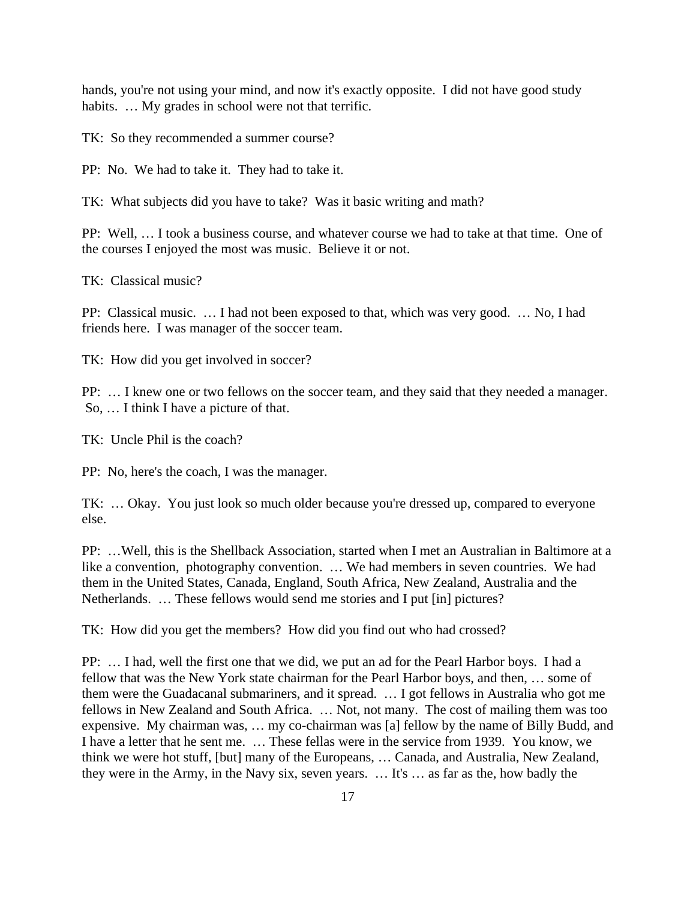hands, you're not using your mind, and now it's exactly opposite. I did not have good study habits. ... My grades in school were not that terrific.

TK: So they recommended a summer course?

PP: No. We had to take it. They had to take it.

TK: What subjects did you have to take? Was it basic writing and math?

PP: Well, … I took a business course, and whatever course we had to take at that time. One of the courses I enjoyed the most was music. Believe it or not.

TK: Classical music?

PP: Classical music. … I had not been exposed to that, which was very good. … No, I had friends here. I was manager of the soccer team.

TK: How did you get involved in soccer?

PP: … I knew one or two fellows on the soccer team, and they said that they needed a manager. So, … I think I have a picture of that.

TK: Uncle Phil is the coach?

PP: No, here's the coach, I was the manager.

TK: … Okay. You just look so much older because you're dressed up, compared to everyone else.

PP: …Well, this is the Shellback Association, started when I met an Australian in Baltimore at a like a convention, photography convention. … We had members in seven countries. We had them in the United States, Canada, England, South Africa, New Zealand, Australia and the Netherlands. … These fellows would send me stories and I put [in] pictures?

TK: How did you get the members? How did you find out who had crossed?

PP: … I had, well the first one that we did, we put an ad for the Pearl Harbor boys. I had a fellow that was the New York state chairman for the Pearl Harbor boys, and then, … some of them were the Guadacanal submariners, and it spread. … I got fellows in Australia who got me fellows in New Zealand and South Africa. … Not, not many. The cost of mailing them was too expensive. My chairman was, … my co-chairman was [a] fellow by the name of Billy Budd, and I have a letter that he sent me. … These fellas were in the service from 1939. You know, we think we were hot stuff, [but] many of the Europeans, … Canada, and Australia, New Zealand, they were in the Army, in the Navy six, seven years. … It's … as far as the, how badly the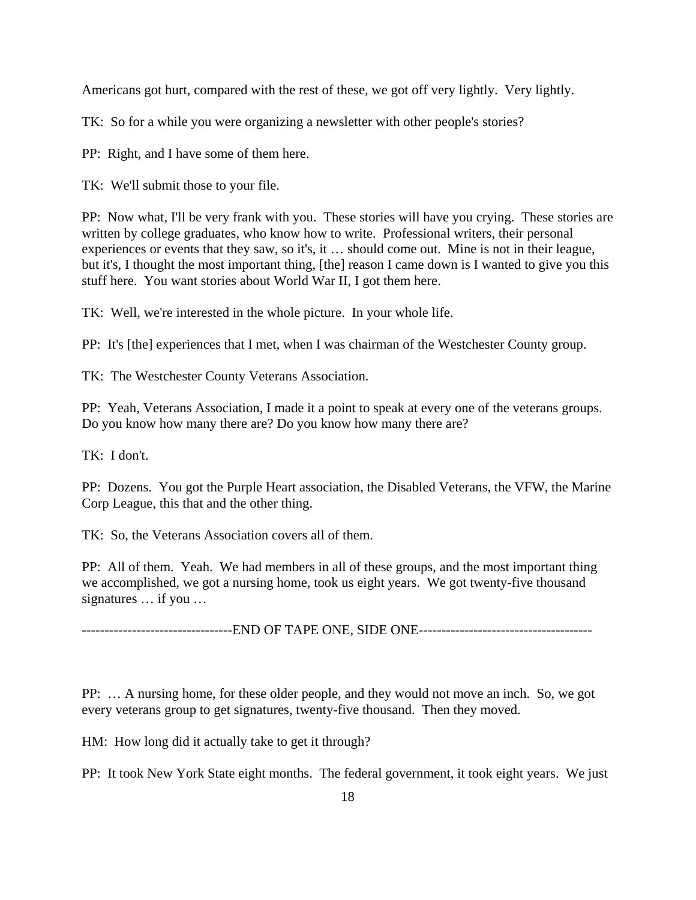Americans got hurt, compared with the rest of these, we got off very lightly. Very lightly.

TK: So for a while you were organizing a newsletter with other people's stories?

PP: Right, and I have some of them here.

TK: We'll submit those to your file.

PP: Now what, I'll be very frank with you. These stories will have you crying. These stories are written by college graduates, who know how to write. Professional writers, their personal experiences or events that they saw, so it's, it … should come out. Mine is not in their league, but it's, I thought the most important thing, [the] reason I came down is I wanted to give you this stuff here. You want stories about World War II, I got them here.

TK: Well, we're interested in the whole picture. In your whole life.

PP: It's [the] experiences that I met, when I was chairman of the Westchester County group.

TK: The Westchester County Veterans Association.

PP: Yeah, Veterans Association, I made it a point to speak at every one of the veterans groups. Do you know how many there are? Do you know how many there are?

TK: I don't.

PP: Dozens. You got the Purple Heart association, the Disabled Veterans, the VFW, the Marine Corp League, this that and the other thing.

TK: So, the Veterans Association covers all of them.

PP: All of them. Yeah. We had members in all of these groups, and the most important thing we accomplished, we got a nursing home, took us eight years. We got twenty-five thousand signatures … if you …

---------------------------------END OF TAPE ONE, SIDE ONE--------------------------------------

PP: … A nursing home, for these older people, and they would not move an inch. So, we got every veterans group to get signatures, twenty-five thousand. Then they moved.

HM: How long did it actually take to get it through?

PP: It took New York State eight months. The federal government, it took eight years. We just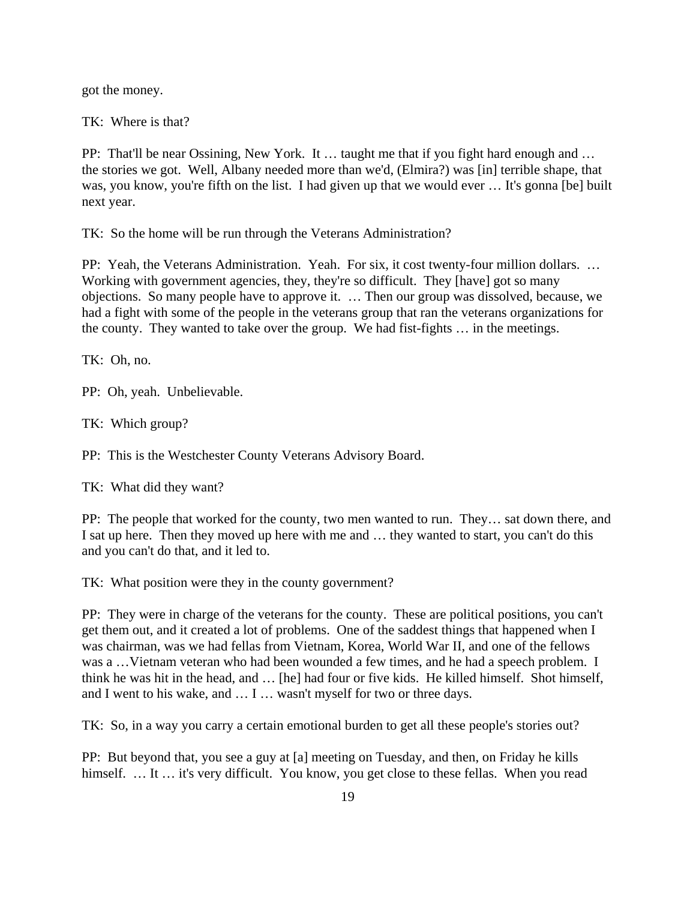got the money.

TK: Where is that?

PP: That'll be near Ossining, New York. It … taught me that if you fight hard enough and … the stories we got. Well, Albany needed more than we'd, (Elmira?) was [in] terrible shape, that was, you know, you're fifth on the list. I had given up that we would ever ... It's gonna [be] built next year.

TK: So the home will be run through the Veterans Administration?

PP: Yeah, the Veterans Administration. Yeah. For six, it cost twenty-four million dollars. … Working with government agencies, they, they're so difficult. They [have] got so many objections. So many people have to approve it. … Then our group was dissolved, because, we had a fight with some of the people in the veterans group that ran the veterans organizations for the county. They wanted to take over the group. We had fist-fights … in the meetings.

TK: Oh, no.

PP: Oh, yeah. Unbelievable.

TK: Which group?

PP: This is the Westchester County Veterans Advisory Board.

TK: What did they want?

PP: The people that worked for the county, two men wanted to run. They… sat down there, and I sat up here. Then they moved up here with me and … they wanted to start, you can't do this and you can't do that, and it led to.

TK: What position were they in the county government?

PP: They were in charge of the veterans for the county. These are political positions, you can't get them out, and it created a lot of problems. One of the saddest things that happened when I was chairman, was we had fellas from Vietnam, Korea, World War II, and one of the fellows was a …Vietnam veteran who had been wounded a few times, and he had a speech problem. I think he was hit in the head, and … [he] had four or five kids. He killed himself. Shot himself, and I went to his wake, and … I … wasn't myself for two or three days.

TK: So, in a way you carry a certain emotional burden to get all these people's stories out?

PP: But beyond that, you see a guy at [a] meeting on Tuesday, and then, on Friday he kills himself. ... It ... it's very difficult. You know, you get close to these fellas. When you read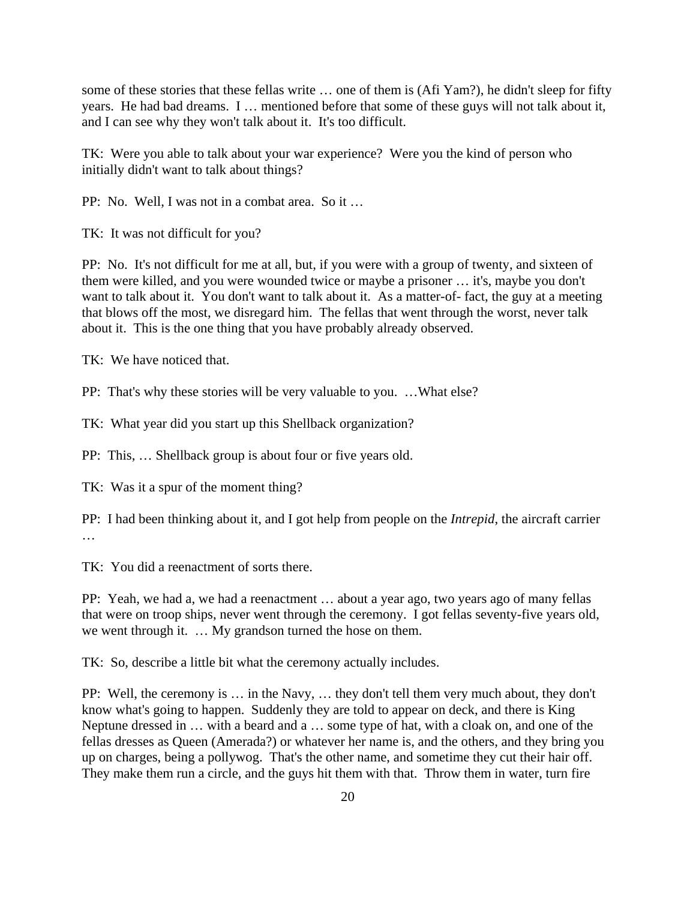some of these stories that these fellas write … one of them is (Afi Yam?), he didn't sleep for fifty years. He had bad dreams. I … mentioned before that some of these guys will not talk about it, and I can see why they won't talk about it. It's too difficult.

TK: Were you able to talk about your war experience? Were you the kind of person who initially didn't want to talk about things?

PP: No. Well, I was not in a combat area. So it …

TK: It was not difficult for you?

PP: No. It's not difficult for me at all, but, if you were with a group of twenty, and sixteen of them were killed, and you were wounded twice or maybe a prisoner … it's, maybe you don't want to talk about it. You don't want to talk about it. As a matter-of- fact, the guy at a meeting that blows off the most, we disregard him. The fellas that went through the worst, never talk about it. This is the one thing that you have probably already observed.

TK: We have noticed that.

PP: That's why these stories will be very valuable to you. …What else?

TK: What year did you start up this Shellback organization?

PP: This, … Shellback group is about four or five years old.

TK: Was it a spur of the moment thing?

PP: I had been thinking about it, and I got help from people on the *Intrepid*, the aircraft carrier …

TK: You did a reenactment of sorts there.

PP: Yeah, we had a, we had a reenactment … about a year ago, two years ago of many fellas that were on troop ships, never went through the ceremony. I got fellas seventy-five years old, we went through it. … My grandson turned the hose on them.

TK: So, describe a little bit what the ceremony actually includes.

PP: Well, the ceremony is … in the Navy, … they don't tell them very much about, they don't know what's going to happen. Suddenly they are told to appear on deck, and there is King Neptune dressed in … with a beard and a … some type of hat, with a cloak on, and one of the fellas dresses as Queen (Amerada?) or whatever her name is, and the others, and they bring you up on charges, being a pollywog. That's the other name, and sometime they cut their hair off. They make them run a circle, and the guys hit them with that. Throw them in water, turn fire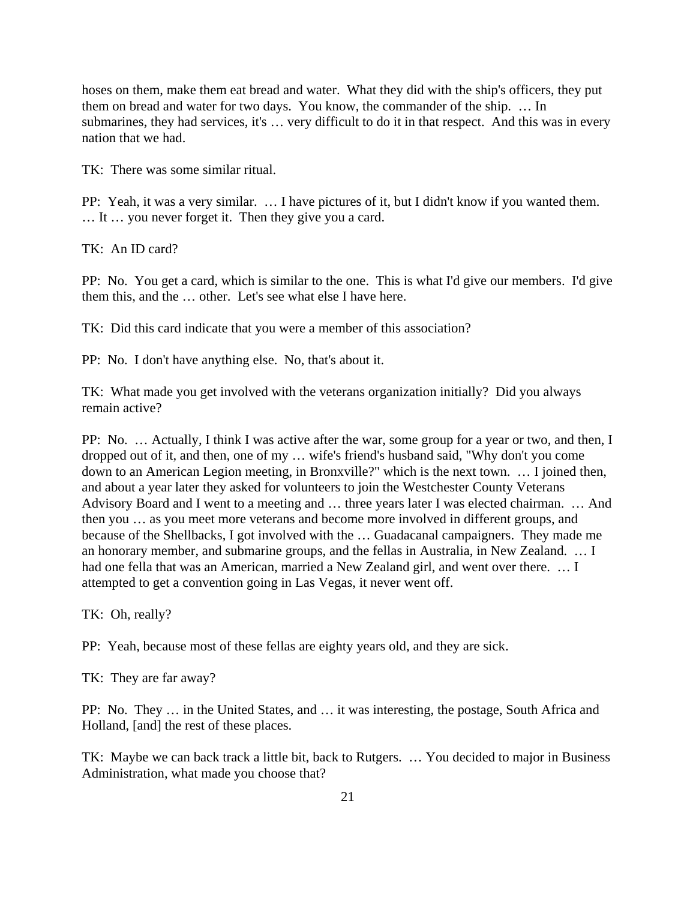hoses on them, make them eat bread and water. What they did with the ship's officers, they put them on bread and water for two days. You know, the commander of the ship. … In submarines, they had services, it's … very difficult to do it in that respect. And this was in every nation that we had.

TK: There was some similar ritual.

PP: Yeah, it was a very similar. … I have pictures of it, but I didn't know if you wanted them. … It … you never forget it. Then they give you a card.

TK: An ID card?

PP: No. You get a card, which is similar to the one. This is what I'd give our members. I'd give them this, and the … other. Let's see what else I have here.

TK: Did this card indicate that you were a member of this association?

PP: No. I don't have anything else. No, that's about it.

TK: What made you get involved with the veterans organization initially? Did you always remain active?

PP: No. … Actually, I think I was active after the war, some group for a year or two, and then, I dropped out of it, and then, one of my … wife's friend's husband said, "Why don't you come down to an American Legion meeting, in Bronxville?" which is the next town. … I joined then, and about a year later they asked for volunteers to join the Westchester County Veterans Advisory Board and I went to a meeting and … three years later I was elected chairman. … And then you … as you meet more veterans and become more involved in different groups, and because of the Shellbacks, I got involved with the … Guadacanal campaigners. They made me an honorary member, and submarine groups, and the fellas in Australia, in New Zealand. … I had one fella that was an American, married a New Zealand girl, and went over there. … I attempted to get a convention going in Las Vegas, it never went off.

TK: Oh, really?

PP: Yeah, because most of these fellas are eighty years old, and they are sick.

TK: They are far away?

PP: No. They … in the United States, and … it was interesting, the postage, South Africa and Holland, [and] the rest of these places.

TK: Maybe we can back track a little bit, back to Rutgers. … You decided to major in Business Administration, what made you choose that?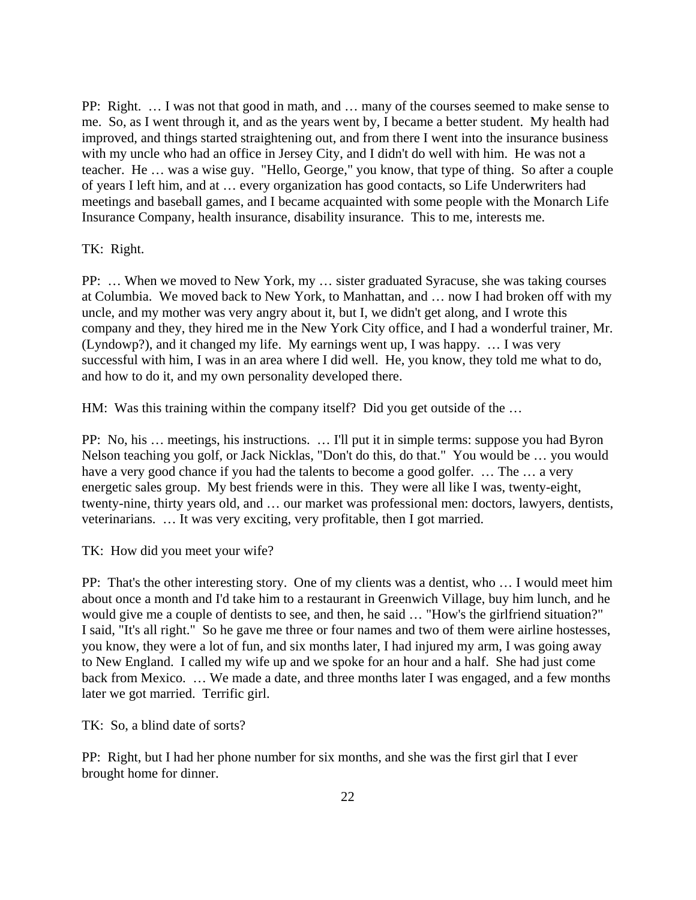PP: Right. … I was not that good in math, and … many of the courses seemed to make sense to me. So, as I went through it, and as the years went by, I became a better student. My health had improved, and things started straightening out, and from there I went into the insurance business with my uncle who had an office in Jersey City, and I didn't do well with him. He was not a teacher. He … was a wise guy. "Hello, George," you know, that type of thing. So after a couple of years I left him, and at … every organization has good contacts, so Life Underwriters had meetings and baseball games, and I became acquainted with some people with the Monarch Life Insurance Company, health insurance, disability insurance. This to me, interests me.

#### TK: Right.

PP: … When we moved to New York, my … sister graduated Syracuse, she was taking courses at Columbia. We moved back to New York, to Manhattan, and … now I had broken off with my uncle, and my mother was very angry about it, but I, we didn't get along, and I wrote this company and they, they hired me in the New York City office, and I had a wonderful trainer, Mr. (Lyndowp?), and it changed my life. My earnings went up, I was happy. … I was very successful with him, I was in an area where I did well. He, you know, they told me what to do, and how to do it, and my own personality developed there.

HM: Was this training within the company itself? Did you get outside of the …

PP: No, his … meetings, his instructions. … I'll put it in simple terms: suppose you had Byron Nelson teaching you golf, or Jack Nicklas, "Don't do this, do that." You would be … you would have a very good chance if you had the talents to become a good golfer. ... The ... a very energetic sales group. My best friends were in this. They were all like I was, twenty-eight, twenty-nine, thirty years old, and … our market was professional men: doctors, lawyers, dentists, veterinarians. … It was very exciting, very profitable, then I got married.

TK: How did you meet your wife?

PP: That's the other interesting story. One of my clients was a dentist, who … I would meet him about once a month and I'd take him to a restaurant in Greenwich Village, buy him lunch, and he would give me a couple of dentists to see, and then, he said … "How's the girlfriend situation?" I said, "It's all right." So he gave me three or four names and two of them were airline hostesses, you know, they were a lot of fun, and six months later, I had injured my arm, I was going away to New England. I called my wife up and we spoke for an hour and a half. She had just come back from Mexico. … We made a date, and three months later I was engaged, and a few months later we got married. Terrific girl.

TK: So, a blind date of sorts?

PP: Right, but I had her phone number for six months, and she was the first girl that I ever brought home for dinner.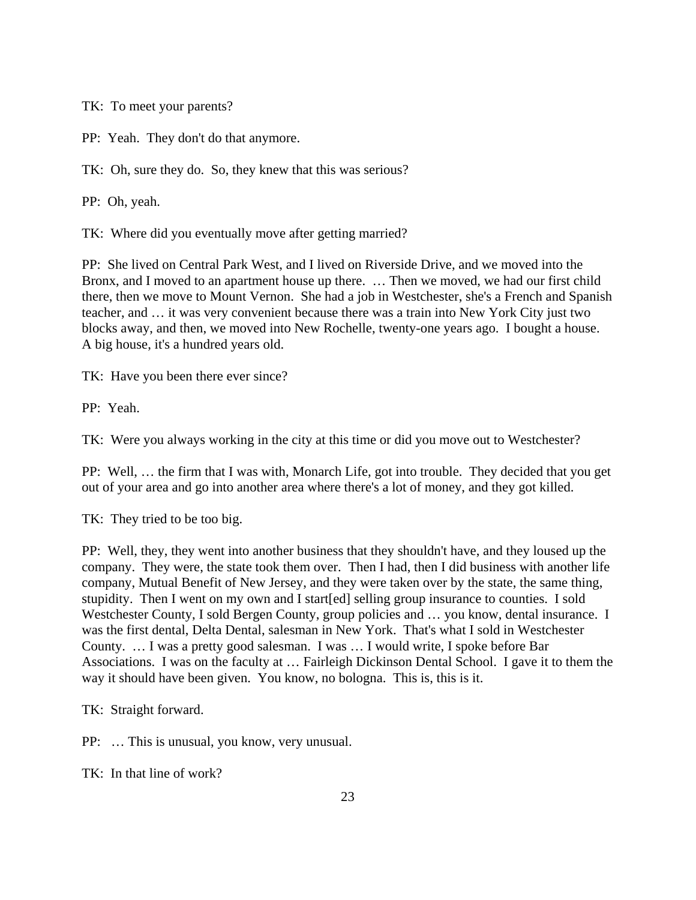TK: To meet your parents?

PP: Yeah. They don't do that anymore.

TK: Oh, sure they do. So, they knew that this was serious?

PP: Oh, yeah.

TK: Where did you eventually move after getting married?

PP: She lived on Central Park West, and I lived on Riverside Drive, and we moved into the Bronx, and I moved to an apartment house up there. … Then we moved, we had our first child there, then we move to Mount Vernon. She had a job in Westchester, she's a French and Spanish teacher, and … it was very convenient because there was a train into New York City just two blocks away, and then, we moved into New Rochelle, twenty-one years ago. I bought a house. A big house, it's a hundred years old.

TK: Have you been there ever since?

PP: Yeah.

TK: Were you always working in the city at this time or did you move out to Westchester?

PP: Well, … the firm that I was with, Monarch Life, got into trouble. They decided that you get out of your area and go into another area where there's a lot of money, and they got killed.

TK: They tried to be too big.

PP: Well, they, they went into another business that they shouldn't have, and they loused up the company. They were, the state took them over. Then I had, then I did business with another life company, Mutual Benefit of New Jersey, and they were taken over by the state, the same thing, stupidity. Then I went on my own and I start[ed] selling group insurance to counties. I sold Westchester County, I sold Bergen County, group policies and ... you know, dental insurance. I was the first dental, Delta Dental, salesman in New York. That's what I sold in Westchester County. … I was a pretty good salesman. I was … I would write, I spoke before Bar Associations. I was on the faculty at … Fairleigh Dickinson Dental School. I gave it to them the way it should have been given. You know, no bologna. This is, this is it.

TK: Straight forward.

PP: … This is unusual, you know, very unusual.

TK: In that line of work?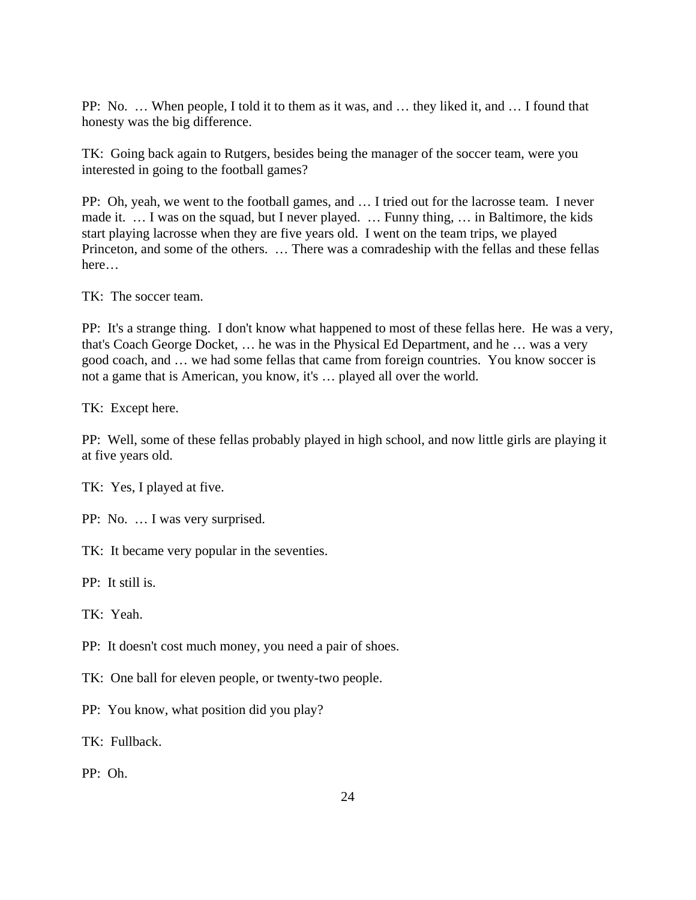PP: No. … When people, I told it to them as it was, and … they liked it, and … I found that honesty was the big difference.

TK: Going back again to Rutgers, besides being the manager of the soccer team, were you interested in going to the football games?

PP: Oh, yeah, we went to the football games, and … I tried out for the lacrosse team. I never made it. … I was on the squad, but I never played. … Funny thing, … in Baltimore, the kids start playing lacrosse when they are five years old. I went on the team trips, we played Princeton, and some of the others. … There was a comradeship with the fellas and these fellas here…

TK: The soccer team.

PP: It's a strange thing. I don't know what happened to most of these fellas here. He was a very, that's Coach George Docket, … he was in the Physical Ed Department, and he … was a very good coach, and … we had some fellas that came from foreign countries. You know soccer is not a game that is American, you know, it's … played all over the world.

TK: Except here.

PP: Well, some of these fellas probably played in high school, and now little girls are playing it at five years old.

TK: Yes, I played at five.

PP: No. … I was very surprised.

TK: It became very popular in the seventies.

PP: It still is.

TK: Yeah.

PP: It doesn't cost much money, you need a pair of shoes.

TK: One ball for eleven people, or twenty-two people.

PP: You know, what position did you play?

TK: Fullback.

PP: Oh.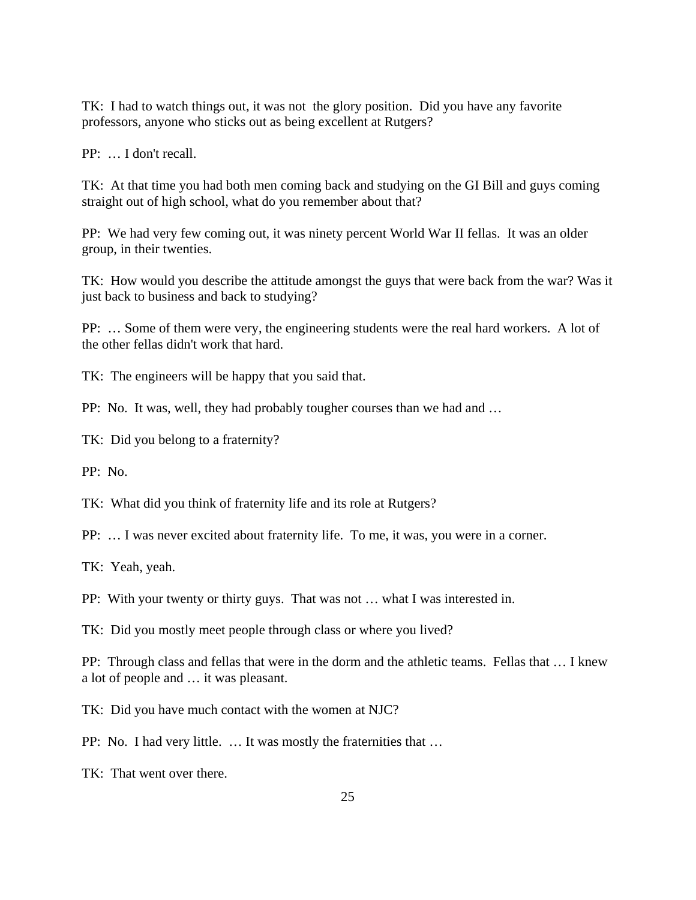TK: I had to watch things out, it was not the glory position. Did you have any favorite professors, anyone who sticks out as being excellent at Rutgers?

PP: … I don't recall.

TK: At that time you had both men coming back and studying on the GI Bill and guys coming straight out of high school, what do you remember about that?

PP: We had very few coming out, it was ninety percent World War II fellas. It was an older group, in their twenties.

TK: How would you describe the attitude amongst the guys that were back from the war? Was it just back to business and back to studying?

PP: … Some of them were very, the engineering students were the real hard workers. A lot of the other fellas didn't work that hard.

TK: The engineers will be happy that you said that.

PP: No. It was, well, they had probably tougher courses than we had and …

TK: Did you belong to a fraternity?

PP: No.

TK: What did you think of fraternity life and its role at Rutgers?

PP: … I was never excited about fraternity life. To me, it was, you were in a corner.

TK: Yeah, yeah.

PP: With your twenty or thirty guys. That was not … what I was interested in.

TK: Did you mostly meet people through class or where you lived?

PP: Through class and fellas that were in the dorm and the athletic teams. Fellas that … I knew a lot of people and … it was pleasant.

TK: Did you have much contact with the women at NJC?

PP: No. I had very little. … It was mostly the fraternities that …

TK: That went over there.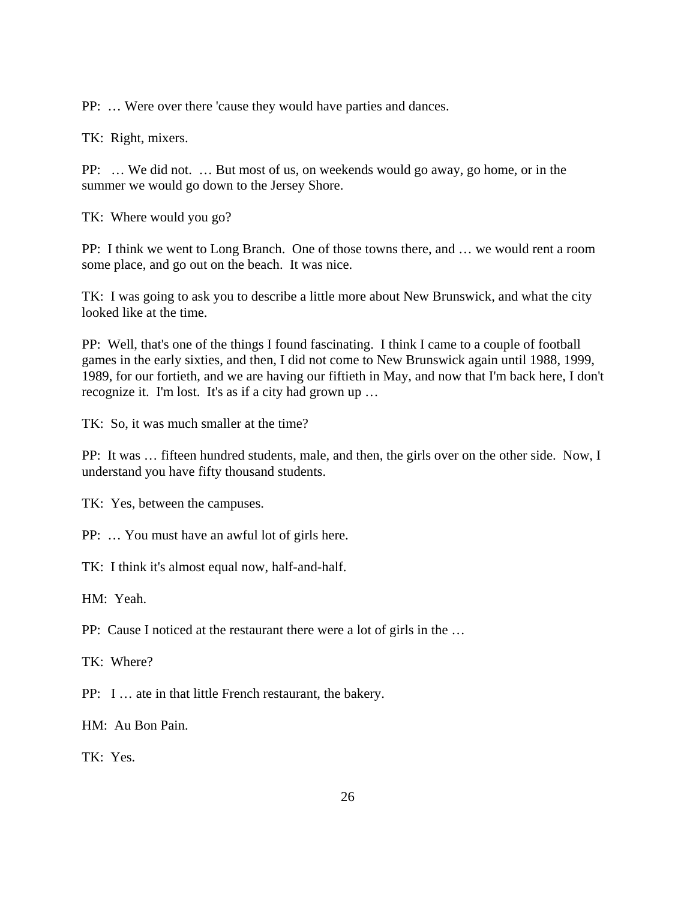PP: … Were over there 'cause they would have parties and dances.

TK: Right, mixers.

PP: … We did not. … But most of us, on weekends would go away, go home, or in the summer we would go down to the Jersey Shore.

TK: Where would you go?

PP: I think we went to Long Branch. One of those towns there, and … we would rent a room some place, and go out on the beach. It was nice.

TK: I was going to ask you to describe a little more about New Brunswick, and what the city looked like at the time.

PP: Well, that's one of the things I found fascinating. I think I came to a couple of football games in the early sixties, and then, I did not come to New Brunswick again until 1988, 1999, 1989, for our fortieth, and we are having our fiftieth in May, and now that I'm back here, I don't recognize it. I'm lost. It's as if a city had grown up …

TK: So, it was much smaller at the time?

PP: It was … fifteen hundred students, male, and then, the girls over on the other side. Now, I understand you have fifty thousand students.

TK: Yes, between the campuses.

PP: … You must have an awful lot of girls here.

TK: I think it's almost equal now, half-and-half.

HM: Yeah.

PP: Cause I noticed at the restaurant there were a lot of girls in the …

TK: Where?

PP: I … ate in that little French restaurant, the bakery.

HM: Au Bon Pain.

TK: Yes.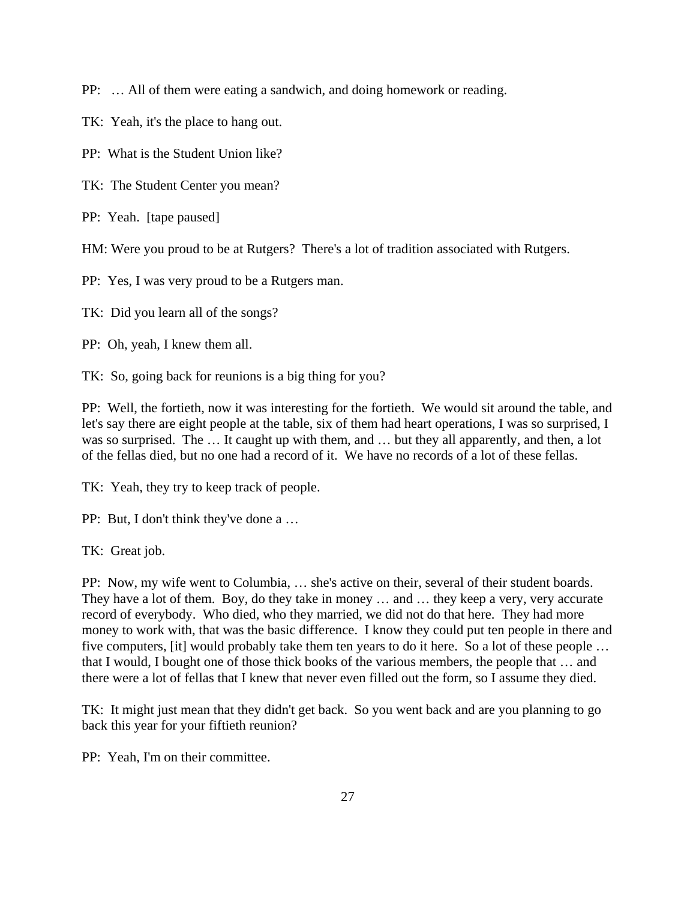PP: … All of them were eating a sandwich, and doing homework or reading.

TK: Yeah, it's the place to hang out.

PP: What is the Student Union like?

TK: The Student Center you mean?

PP: Yeah. [tape paused]

HM: Were you proud to be at Rutgers? There's a lot of tradition associated with Rutgers.

PP: Yes, I was very proud to be a Rutgers man.

TK: Did you learn all of the songs?

PP: Oh, yeah, I knew them all.

TK: So, going back for reunions is a big thing for you?

PP: Well, the fortieth, now it was interesting for the fortieth. We would sit around the table, and let's say there are eight people at the table, six of them had heart operations, I was so surprised, I was so surprised. The ... It caught up with them, and ... but they all apparently, and then, a lot of the fellas died, but no one had a record of it. We have no records of a lot of these fellas.

TK: Yeah, they try to keep track of people.

PP: But, I don't think they've done a …

TK: Great job.

PP: Now, my wife went to Columbia, … she's active on their, several of their student boards. They have a lot of them. Boy, do they take in money … and … they keep a very, very accurate record of everybody. Who died, who they married, we did not do that here. They had more money to work with, that was the basic difference. I know they could put ten people in there and five computers, [it] would probably take them ten years to do it here. So a lot of these people … that I would, I bought one of those thick books of the various members, the people that … and there were a lot of fellas that I knew that never even filled out the form, so I assume they died.

TK: It might just mean that they didn't get back. So you went back and are you planning to go back this year for your fiftieth reunion?

PP: Yeah, I'm on their committee.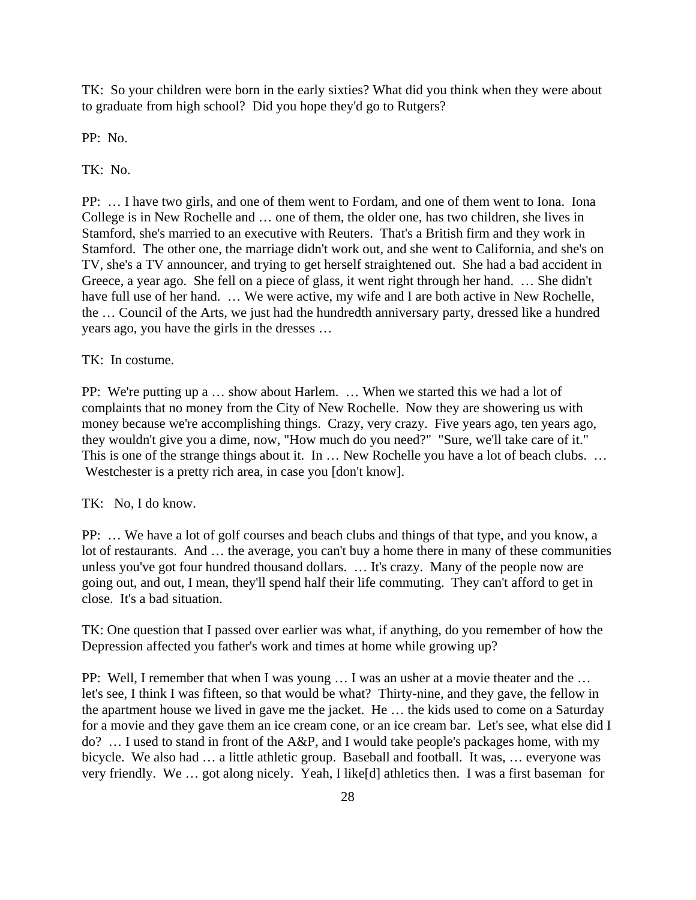TK: So your children were born in the early sixties? What did you think when they were about to graduate from high school? Did you hope they'd go to Rutgers?

PP: No.

TK: No.

PP: … I have two girls, and one of them went to Fordam, and one of them went to Iona. Iona College is in New Rochelle and … one of them, the older one, has two children, she lives in Stamford, she's married to an executive with Reuters. That's a British firm and they work in Stamford. The other one, the marriage didn't work out, and she went to California, and she's on TV, she's a TV announcer, and trying to get herself straightened out. She had a bad accident in Greece, a year ago. She fell on a piece of glass, it went right through her hand. … She didn't have full use of her hand. ... We were active, my wife and I are both active in New Rochelle, the … Council of the Arts, we just had the hundredth anniversary party, dressed like a hundred years ago, you have the girls in the dresses …

TK: In costume.

PP: We're putting up a … show about Harlem. … When we started this we had a lot of complaints that no money from the City of New Rochelle. Now they are showering us with money because we're accomplishing things. Crazy, very crazy. Five years ago, ten years ago, they wouldn't give you a dime, now, "How much do you need?" "Sure, we'll take care of it." This is one of the strange things about it. In ... New Rochelle you have a lot of beach clubs. ... Westchester is a pretty rich area, in case you [don't know].

TK: No, I do know.

PP: … We have a lot of golf courses and beach clubs and things of that type, and you know, a lot of restaurants. And … the average, you can't buy a home there in many of these communities unless you've got four hundred thousand dollars. … It's crazy. Many of the people now are going out, and out, I mean, they'll spend half their life commuting. They can't afford to get in close. It's a bad situation.

TK: One question that I passed over earlier was what, if anything, do you remember of how the Depression affected you father's work and times at home while growing up?

PP: Well, I remember that when I was young … I was an usher at a movie theater and the … let's see, I think I was fifteen, so that would be what? Thirty-nine, and they gave, the fellow in the apartment house we lived in gave me the jacket. He … the kids used to come on a Saturday for a movie and they gave them an ice cream cone, or an ice cream bar. Let's see, what else did I do? … I used to stand in front of the A&P, and I would take people's packages home, with my bicycle. We also had … a little athletic group. Baseball and football. It was, … everyone was very friendly. We … got along nicely. Yeah, I like[d] athletics then. I was a first baseman for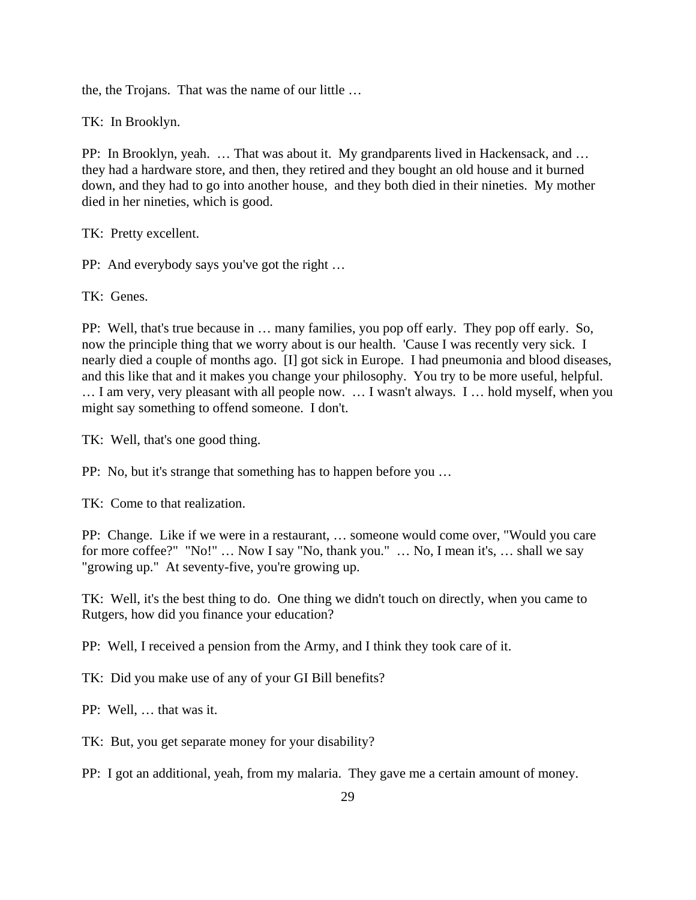the, the Trojans. That was the name of our little …

TK: In Brooklyn.

PP: In Brooklyn, yeah. … That was about it. My grandparents lived in Hackensack, and … they had a hardware store, and then, they retired and they bought an old house and it burned down, and they had to go into another house, and they both died in their nineties. My mother died in her nineties, which is good.

TK: Pretty excellent.

PP: And everybody says you've got the right …

TK: Genes.

PP: Well, that's true because in … many families, you pop off early. They pop off early. So, now the principle thing that we worry about is our health. 'Cause I was recently very sick. I nearly died a couple of months ago. [I] got sick in Europe. I had pneumonia and blood diseases, and this like that and it makes you change your philosophy. You try to be more useful, helpful. … I am very, very pleasant with all people now. … I wasn't always. I … hold myself, when you might say something to offend someone. I don't.

TK: Well, that's one good thing.

PP: No, but it's strange that something has to happen before you …

TK: Come to that realization.

PP: Change. Like if we were in a restaurant, … someone would come over, "Would you care for more coffee?" "No!" … Now I say "No, thank you." … No, I mean it's, … shall we say "growing up." At seventy-five, you're growing up.

TK: Well, it's the best thing to do. One thing we didn't touch on directly, when you came to Rutgers, how did you finance your education?

PP: Well, I received a pension from the Army, and I think they took care of it.

TK: Did you make use of any of your GI Bill benefits?

PP: Well, … that was it.

TK: But, you get separate money for your disability?

PP: I got an additional, yeah, from my malaria. They gave me a certain amount of money.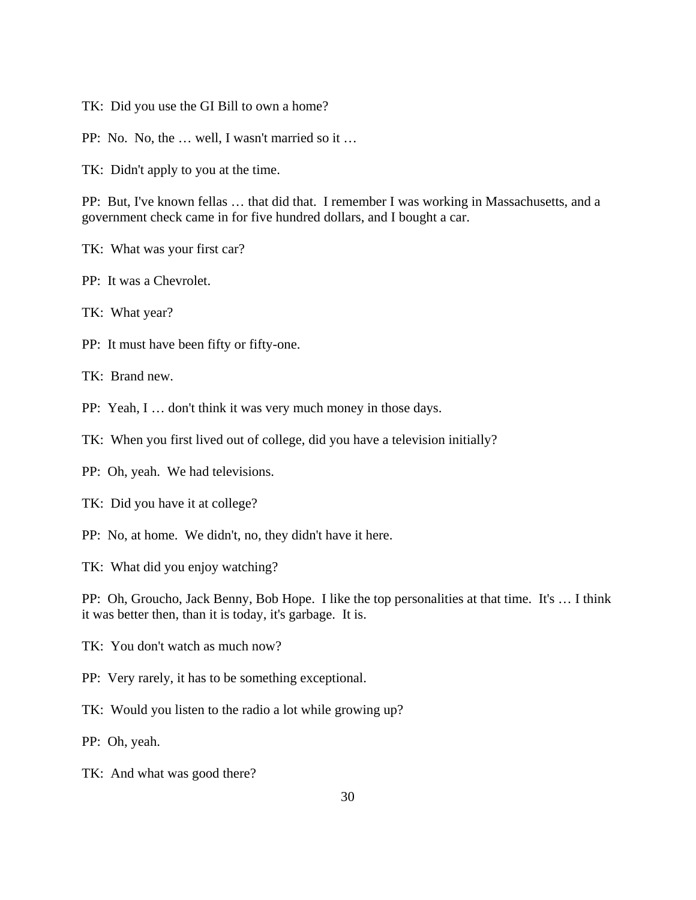TK: Did you use the GI Bill to own a home?

PP: No. No, the … well, I wasn't married so it …

TK: Didn't apply to you at the time.

PP: But, I've known fellas … that did that. I remember I was working in Massachusetts, and a government check came in for five hundred dollars, and I bought a car.

- TK: What was your first car?
- PP: It was a Chevrolet.
- TK: What year?
- PP: It must have been fifty or fifty-one.

TK: Brand new.

PP: Yeah, I … don't think it was very much money in those days.

TK: When you first lived out of college, did you have a television initially?

PP: Oh, yeah. We had televisions.

- TK: Did you have it at college?
- PP: No, at home. We didn't, no, they didn't have it here.

TK: What did you enjoy watching?

PP: Oh, Groucho, Jack Benny, Bob Hope. I like the top personalities at that time. It's … I think it was better then, than it is today, it's garbage. It is.

- TK: You don't watch as much now?
- PP: Very rarely, it has to be something exceptional.
- TK: Would you listen to the radio a lot while growing up?

PP: Oh, yeah.

TK: And what was good there?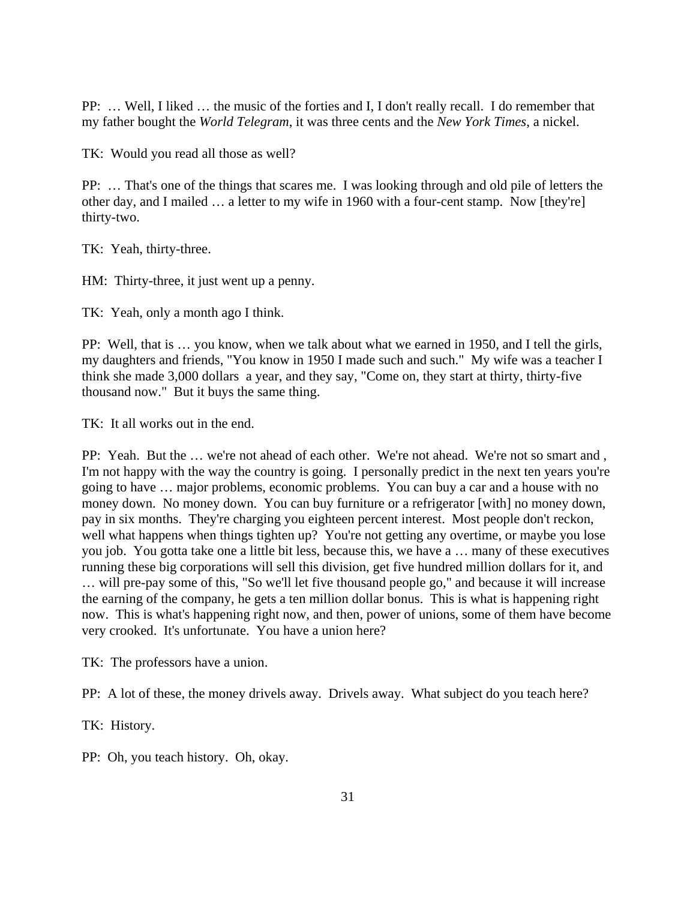PP: … Well, I liked … the music of the forties and I, I don't really recall. I do remember that my father bought the *World Telegram*, it was three cents and the *New York Times*, a nickel.

TK: Would you read all those as well?

PP: … That's one of the things that scares me. I was looking through and old pile of letters the other day, and I mailed … a letter to my wife in 1960 with a four-cent stamp. Now [they're] thirty-two.

TK: Yeah, thirty-three.

HM: Thirty-three, it just went up a penny.

TK: Yeah, only a month ago I think.

PP: Well, that is … you know, when we talk about what we earned in 1950, and I tell the girls, my daughters and friends, "You know in 1950 I made such and such." My wife was a teacher I think she made 3,000 dollars a year, and they say, "Come on, they start at thirty, thirty-five thousand now." But it buys the same thing.

TK: It all works out in the end.

PP: Yeah. But the … we're not ahead of each other. We're not ahead. We're not so smart and , I'm not happy with the way the country is going. I personally predict in the next ten years you're going to have … major problems, economic problems. You can buy a car and a house with no money down. No money down. You can buy furniture or a refrigerator [with] no money down, pay in six months. They're charging you eighteen percent interest. Most people don't reckon, well what happens when things tighten up? You're not getting any overtime, or maybe you lose you job. You gotta take one a little bit less, because this, we have a … many of these executives running these big corporations will sell this division, get five hundred million dollars for it, and … will pre-pay some of this, "So we'll let five thousand people go," and because it will increase the earning of the company, he gets a ten million dollar bonus. This is what is happening right now. This is what's happening right now, and then, power of unions, some of them have become very crooked. It's unfortunate. You have a union here?

TK: The professors have a union.

PP: A lot of these, the money drivels away. Drivels away. What subject do you teach here?

TK: History.

PP: Oh, you teach history. Oh, okay.